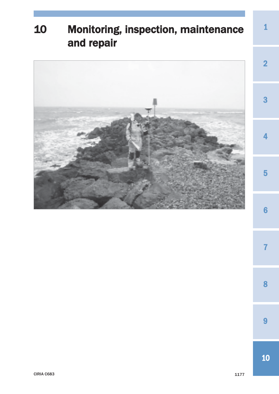# Monitoring, inspection, maintenance and repair

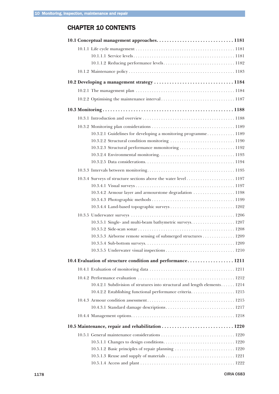# CHAPTER 10 CONTENTS

| 10.1 Conceptual management approaches 1181                                 |
|----------------------------------------------------------------------------|
|                                                                            |
|                                                                            |
|                                                                            |
|                                                                            |
|                                                                            |
|                                                                            |
|                                                                            |
|                                                                            |
|                                                                            |
|                                                                            |
| 10.3.2.1 Guidelines for developing a monitoring programme 1189             |
|                                                                            |
|                                                                            |
|                                                                            |
|                                                                            |
|                                                                            |
|                                                                            |
|                                                                            |
| 10.3.4.2 Armour layer and armourstone degradation  1198                    |
|                                                                            |
|                                                                            |
|                                                                            |
| 10.3.5.1 Single- and multi-beam bathymetric surveys 1207                   |
|                                                                            |
| 10.3.5.3 Airborne remote sensing of submerged structures 1209              |
|                                                                            |
|                                                                            |
| 10.4 Evaluation of structure condition and performance 1211                |
|                                                                            |
|                                                                            |
| 10.4.2.1 Subdivision of strutures into structural and length elements 1214 |
| 10.4.2.2 Establishing functional performance criteria 1215                 |
|                                                                            |
|                                                                            |
|                                                                            |
|                                                                            |
|                                                                            |
|                                                                            |
|                                                                            |
|                                                                            |
|                                                                            |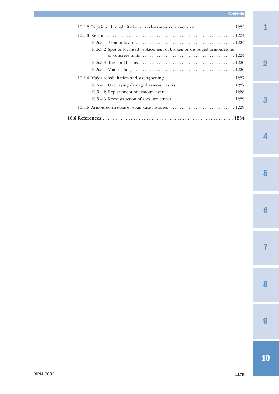# *Contents*

| 10.5.2 Repair and rehabilitation of rock-armoured structures  1223        |
|---------------------------------------------------------------------------|
|                                                                           |
|                                                                           |
| 10.5.3.2 Spot or localised replacement of broken or dislodged armourstone |
|                                                                           |
|                                                                           |
|                                                                           |
|                                                                           |
|                                                                           |
|                                                                           |
|                                                                           |
| 10.5.5 Armoured structure repair case histories 1229                      |
|                                                                           |

2

1

# 3

4

7

#### CIRIA C683 1179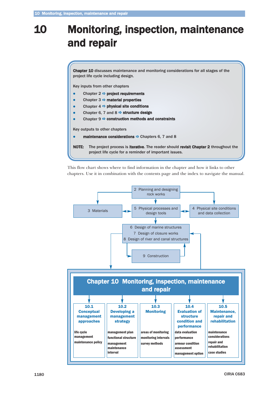# 10 Monitoring, inspection, maintenance and repair

Chapter 10 discusses maintenance and monitoring considerations for all stages of the project life cycle including design.

Key inputs from other chapters

- $\bullet$ Chapter 2  $\Rightarrow$  project requirements
- $\bullet$ Chapter 3  $\Rightarrow$  material properties
- $\bullet$ Chapter  $4 \Rightarrow$  physical site conditions
- $\bullet$ Chapter 6, 7 and 8  $\Rightarrow$  structure design
- $\bullet$ Chapter  $9 \Rightarrow$  construction methods and constraints

Key outputs to other chapters

 $\bullet$ maintenance considerations  $\Rightarrow$  Chapters 6, 7 and 8

NOTE: The project process is iterative. The reader should revisit Chapter 2 throughout the project life cycle for a reminder of important issues.

This flow chart shows where to find information in the chapter and how it links to other chapters. Use it in combination with the contents page and the index to navigate the manual.

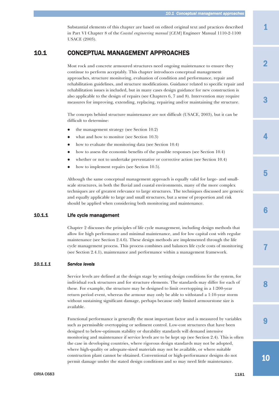1

2

3

4

5

# <span id="page-4-0"></span>10.1 CONCEPTUAL MANAGEMENT APPROACHES

USACE (2003).

Most rock and concrete armoured structures need ongoing maintenance to ensure they continue to perform acceptably. This chapter introduces conceptual management approaches, structure monitoring, evaluation of condition and performance, repair and rehabilitation guidelines, and structure modifications. Guidance related to specific repair and rehabilitation issues is included, but in many cases design guidance for new construction is also applicable to the design of repairs (see Chapters 6, 7 and 8). Intervention may require measures for improving, extending, replacing, repairing and/or maintaining the structure.

Substantial elements of this chapter are based on edited original text and practices described in Part VI Chapter 8 of the *Coastal engineering manual* [*CEM*] Engineer Manual 1110-2-1100

The concepts behind structure maintenance are not difficult (USACE, 2003), but it can be difficult to determine:

- $\bullet$ the management strategy (see Section 10.2)
- $\bullet$ what and how to monitor (see Section 10.3)
- $\bullet$ how to evaluate the monitoring data (see Section 10.4)
- $\bullet$ how to assess the economic benefits of the possible responses (see Section 10.4)
- $\bullet$ whether or not to undertake preventative or corrective action (see Section 10.4)
- $\bullet$ how to implement repairs (see Section 10.5).

Although the same conceptual management approach is equally valid for large- and smallscale structures, in both the fluvial and coastal environments, many of the more complex techniques are of greatest relevance to large structures. The techniques discussed are generic and equally applicable to large and small structures, but a sense of proportion and risk should be applied when considering both monitoring and maintenance.

# 10.1.1 Life cycle management

Chapter 2 discusses the principles of life cycle management, including design methods that allow for high performance and minimal maintenance, and for low capital cost with regular maintenance (see Section 2.4.6). These design methods are implemented through the life cycle management process. This process combines and balances life cycle costs of monitoring (see Section 2.4.1), maintenance and performance within a management framework.

# *10.1.1.1 Service levels*

Service levels are defined at the design stage by setting design conditions for the system, for individual rock structures and for structure elements. The standards may differ for each of these. For example, the structure may be designed to limit overtopping in a 1:200-year return period event, whereas the armour may only be able to withstand a 1:10-year storm without sustaining significant damage, perhaps because only limited armourstone size is available.

Functional performance is generally the most important factor and is measured by variables such as permissible overtopping or sediment control. Low-cost structures that have been designed to below-optimum stability or durability standards will demand intensive monitoring and maintenance if service levels are to be kept up (see Section 2.4). This is often the case in developing countries, where rigorous design standards may not be adopted, where high-quality or adequate-sized materials may not be available, or where suitable construction plant cannot be obtained. Conventional or high-performance designs do not permit damage under the stated design conditions and so may need little maintenance.

8

7

6

 $\mathbf Q$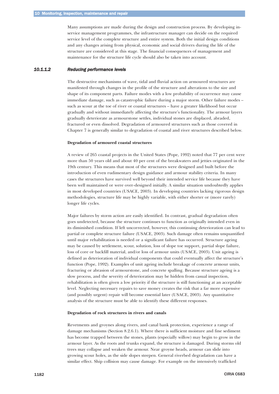<span id="page-5-0"></span>Many assumptions are made during the design and construction process. By developing inservice management programmes, the infrastructure manager can decide on the required service level of the complete structure and entire system. Both the initial design conditions and any changes arising from physical, economic and social drivers during the life of the structure are considered at this stage. The financial consequences of management and maintenance for the structure life cycle should also be taken into account.

#### *10.1.1.2 Reducing performance levels*

The destructive mechanisms of wave, tidal and fluvial action on armoured structures are manifested through changes in the profile of the structure and alterations to the size and shape of its component parts. Failure modes with a low probability of occurrence may cause immediate damage, such as catastrophic failure during a major storm. Other failure modes – such as scour at the toe of river or coastal structures – have a greater likelihood but occur gradually and without immediately affecting the structure's functionality. The armour layers gradually deteriorate as armourstone settles, individual stones are displaced, abraded, fractured or even dissolved. Degradation of armoured structures such as those covered in Chapter 7 is generally similar to degradation of coastal and river structures described below.

#### **Degradation of armoured coastal structures**

A review of 265 coastal projects in the United States (Pope, 1992) noted that 77 per cent were more than 50 years old and about 40 per cent of the breakwaters and jetties originated in the 19th century. This means that most of the structures were designed and built before the introduction of even rudimentary design guidance and armour stability criteria. In many cases the structures have survived well beyond their intended service life because they have been well maintained or were over-designed initially. A similar situation undoubtedly applies in most developed countries (USACE, 2003). In developing countries lacking rigorous design methodologies, structure life may be highly variable, with either shorter or (more rarely) longer life cycles.

Major failures by storm action are easily identified. In contrast, gradual degradation often goes undetected, because the structure continues to function as originally intended even in its diminished condition. If left uncorrected, however, this continuing deterioration can lead to partial or complete structure failure (USACE, 2003). Such damage often remains unquantified until major rehabilitation is needed or a significant failure has occurred. Structure ageing may be caused by settlement, scour, solution, loss of slope toe support, partial slope failure, loss of core or backfill material, and/or loss of armour units (USACE, 2003). Unit ageing is defined as deterioration of individual components that could eventually affect the structure's function (Pope, 1992). Examples of unit ageing include breakage of concrete armour units, fracturing or abrasion of armourstone, and concrete spalling. Because structure ageing is a slow process, and the severity of deterioration may be hidden from casual inspection, rehabilitation is often given a low priority if the structure is still functioning at an acceptable level. Neglecting necessary repairs to save money creates the risk that a far more expensive (and possibly urgent) repair will become essential later (USACE, 2003). Any quantitative analysis of the structure must be able to identify these different responses.

#### **Degradation of rock structures in rivers and canals**

Revetments and groynes along rivers, and canal bank protection, experience a range of damage mechanisms (Section 8.2.6.1). Where there is sufficient moisture and fine sediment has become trapped between the stones, plants (especially willow) may begin to grow in the armour layer. As the roots and trunks expand, the structure is damaged. During storms old trees may collapse and weaken the armour. Near groyne heads, armour can slide into growing scour holes, as the side slopes steepen. General riverbed degradation can have a similar effect. Ship collision may cause damage. For example on the intensively trafficked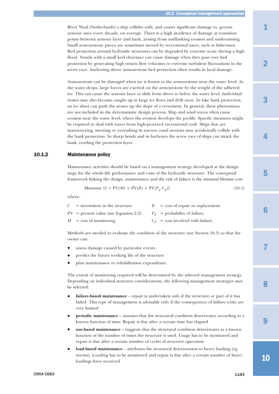<span id="page-6-0"></span>River Waal (Netherlands) a ship collides with, and causes significant damage to, groyne armour once every decade, on average. There is a high incidence of damage at transition points between armour layer and bank, arising from outflanking erosion and undermining. Small armourstone pieces are sometimes moved by recreational users, such as fishermen. Bed protection around hydraulic structures can be degraded by extreme scour during a high flood. Vessels with a small keel clearance can cause damage when they pass over bed protection by generating high return flow velocities or extreme turbulent fluctuations in the screw race. Anchoring above armourstone bed protection often results in local damage.

Armourstone can be damaged when ice is frozen to the armourstone near the water level. As the water drops, large forces are exerted on the armourstone by the weight of the adhered ice. This can cause the armour layer to slide from above to below the water level. Individual stones may also become caught up in large ice flows and drift away. In lake bank protection, an ice sheet can push the stones up the slope of a revetment. In general, these phenomena are not included in the deterministic design process. Ship and wind waves often cause erosion near the water level, where the erosion develops the profile. Specific measures might be required to deal with waves from high-powered recreational craft. Ships that are manoeuvring, meeting or overtaking in narrow canal sections may accidentally collide with the bank protection. In sharp bends and in harbours the screw race of ships can attack the bank, eroding the protection layer.

### 10.1.2 Maintenance policy

Maintenance activities should be based on a management strategy developed at the design stage for the whole-life performance and costs of the hydraulic structure. The conceptual framework linking the design, maintenance and the risk of failure is the minimal lifetime cost:

$$
\text{Minimise } \{I + \text{PV}(M) + \text{PV}(R) + \text{PV}(P_F C_F)\}\tag{10.1}
$$

where:

| I | $=$ investment in the structure         | $R = \text{cost of repair or replacement}$ |
|---|-----------------------------------------|--------------------------------------------|
|   | $PV = present value$ (see Equation 2.2) | $P_F$ = probability of failure             |
|   | $M = \text{cost of monitoring}$         | $C_F$ = cost involved with failure.        |

Methods are needed to evaluate the condition of the structure (see Section 10.3) so that the owner can:

- $\bullet$ assess damage caused by particular events
- $\bullet$ predict the future working life of the structure
- $\bullet$ plan maintenance or rehabilitation expenditure.

The extent of monitoring required will be determined by the selected management strategy. Depending on individual structure considerations, the following management strategies may be selected:

- $\bullet$  **failure-based maintenance** – repair is undertaken only if the structure or part of it has failed. This type of management is advisable only if the consequences of failure (risk) are very limited
- $\bullet$ **periodic maintenance** – assumes that the structural condition deteriorates according to a known function of time. Repair is due after a certain time has elapsed
- $\bullet$  **use-based maintenance** – suggests that the structural condition deteriorates as a known function of the number of times the structure is used. Usage has to be monitored and repair is due after a certain number of cycles of structure operation
- $\bullet$  **load-based maintenance** – attributes the structural deterioration to heavy loading (eg storms). Loading has to be monitored and repair is due after a certain number of heavy loadings have occurred

3

2

4

10

9

8

7

6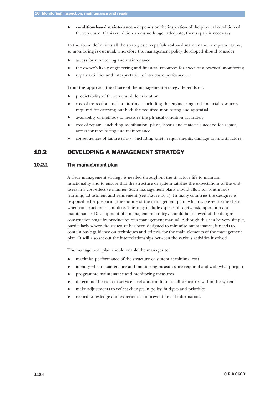<span id="page-7-0"></span> $\bullet$  **condition-based maintenance** – depends on the inspection of the physical condition of the structure. If this condition seems no longer adequate, then repair is necessary.

In the above definitions all the strategies except failure-based maintenance are preventative, so monitoring is essential. Therefore the management policy developed should consider:

- $\bullet$ access for monitoring and maintenance
- $\bullet$ the owner's likely engineering and financial resources for executing practical monitoring
- $\bullet$ repair activities and interpretation of structure performance.

From this approach the choice of the management strategy depends on:

- $\bullet$ predictability of the structural deterioration
- $\bullet$  cost of inspection and monitoring – including the engineering and financial resources required for carrying out both the required monitoring and appraisal
- $\bullet$ availability of methods to measure the physical condition accurately
- $\bullet$  cost of repair – including mobilisation, plant, labour and materials needed for repair, access for monitoring and maintenance
- $\bullet$ consequences of failure (risk) – including safety requirements, damage to infrastructure.

# 10.2 DEVELOPING A MANAGEMENT STRATEGY

# 10.2.1 The management plan

A clear management strategy is needed throughout the structure life to maintain functionality and to ensure that the structure or system satisfies the expectations of the endusers in a cost-effective manner. Such management plans should allow for continuous learning, adjustment and refinement (see Figure 10.1). In many countries the designer is responsible for preparing the outline of the management plan, which is passed to the client when construction is complete. This may include aspects of safety, risk, operation and maintenance. Development of a management strategy should be followed at the design/ construction stage by production of a management manual. Although this can be very simple, particularly where the structure has been designed to minimise maintenance, it needs to contain basic guidance on techniques and criteria for the main elements of the management plan. It will also set out the interrelationships between the various activities involved.

The management plan should enable the manager to:

- $\bullet$ maximise performance of the structure or system at minimal cost
- $\bullet$ identify which maintenance and monitoring measures are required and with what purpose
- $\bullet$ programme maintenance and monitoring measures
- $\bullet$ determine the current service level and condition of all structures within the system
- $\bullet$ make adjustments to reflect changes in policy, budgets and priorities
- $\bullet$ record knowledge and experiences to prevent loss of information.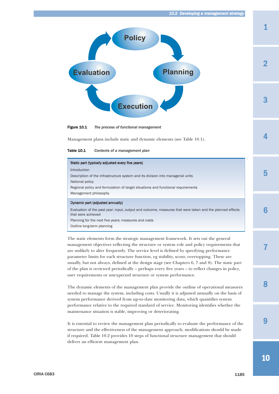1

3

2

4

5



Figure 10.1 *The process of functional management* 

Management plans include static and dynamic elements (see Table 10.1).

Table 10.1 *Contents of a management plan*

| Static part (typically adjusted every five years)                                                                              |
|--------------------------------------------------------------------------------------------------------------------------------|
| Introduction                                                                                                                   |
| Description of the infrastructure system and its division into managerial units                                                |
| National policy                                                                                                                |
| Regional policy and formulation of target situations and functional requirements                                               |
| Management philosophy                                                                                                          |
| Dynamic part (adjusted annually)                                                                                               |
| Evaluation of the past year: input, output and outcome, measures that were taken and the planned effects<br>that were achieved |
|                                                                                                                                |
| Planning for the next five years: measures and costs                                                                           |

The static elements form the strategic management framework. It sets out the general management objectives reflecting the structure or system role and policy requirements that are unlikely to alter frequently. The service level is defined by specifying performance parameter limits for each structure function, eg stability, scour, overtopping. These are usually, but not always, defined at the design stage (see Chapters 6, 7 and 8). The static part of the plan is reviewed periodically – perhaps every five years – to reflect changes in policy, user requirements or unexpected structure or system performance.

The dynamic elements of the management plan provide the outline of operational measures needed to manage the system, including costs. Usually it is adjusted annually on the basis of system performance derived from up-to-date monitoring data, which quantifies system performance relative to the required standard of service. Monitoring identifies whether the maintenance situation is stable, improving or deteriorating.

It is essential to review the management plan periodically to evaluate the performance of the structure and the effectiveness of the management approach; modifications should be made if required. Table 10.2 provides 10 steps of functional structure management that should deliver an efficient management plan.

9

8

7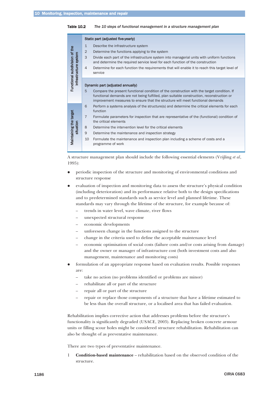#### Table 10.2 *The 10 steps of functional management in a structure management plan*

|                                                        | Static part (adjusted five-yearly) |                                                                                                                                                                                                                                                                           |  |  |
|--------------------------------------------------------|------------------------------------|---------------------------------------------------------------------------------------------------------------------------------------------------------------------------------------------------------------------------------------------------------------------------|--|--|
|                                                        | $\mathbf{1}$                       | Describe the infrastructure system                                                                                                                                                                                                                                        |  |  |
|                                                        | $\overline{2}$                     | Determine the functions applying to the system                                                                                                                                                                                                                            |  |  |
|                                                        | 3                                  | Divide each part of the infrastructure system into managerial units with uniform functions<br>and determine the required service level for each function of the construction                                                                                              |  |  |
| Functional subdivision of the<br>infrastructure system | $\overline{4}$                     | Determine for each function the requirements that will enable it to reach this target level of<br>service                                                                                                                                                                 |  |  |
|                                                        |                                    | Dynamic part (adjusted annually)                                                                                                                                                                                                                                          |  |  |
|                                                        | 5                                  | Compare the present functional condition of the construction with the target condition. If<br>functional demands are not being fulfilled, plan suitable construction, reconstruction or<br>improvement measures to ensure that the structure will meet functional demands |  |  |
|                                                        | 6                                  | Perform a systems analysis of the structure(s) and determine the critical elements for each<br>function                                                                                                                                                                   |  |  |
| target                                                 | $\overline{7}$                     | Formulate parameters for inspection that are representative of the (functional) condition of<br>the critical elements                                                                                                                                                     |  |  |
| situation                                              | 8                                  | Determine the intervention level for the critical elements                                                                                                                                                                                                                |  |  |
|                                                        | 9                                  | Determine the maintenance and inspection strategy                                                                                                                                                                                                                         |  |  |
| Maintaining the                                        | 10                                 | Formulate the maintenance and inspection plan including a scheme of costs and a<br>programme of work                                                                                                                                                                      |  |  |
|                                                        |                                    |                                                                                                                                                                                                                                                                           |  |  |

A structure management plan should include the following essential elements (Vrijling *et al*, 1995):

- $\bullet$  periodic inspection of the structure and monitoring of environmental conditions and structure response
- $\bullet$  evaluation of inspection and monitoring data to assess the structure's physical condition (including deterioration) and its performance relative both to the design specifications and to predetermined standards such as service level and planned lifetime. These standards may vary through the lifetime of the structure, for example because of:
	- trends in water level, wave climate, river flows
	- unexpected structural response
	- economic developments
	- unforeseen change in the functions assigned to the structure
	- change in the criteria used to define the acceptable maintenance level
	- economic optimisation of social costs (failure costs and/or costs arising from damage) and the owner or manager of infrastructure cost (both investment costs and also management, maintenance and monitoring costs)
- $\bullet$  formulation of an appropriate response based on evaluation results. Possible responses are:
	- take no action (no problems identified or problems are minor)
	- rehabilitate all or part of the structure
	- repair all or part of the structure
	- repair or replace those components of a structure that have a lifetime estimated to be less than the overall structure, or a localised area that has failed evaluation.

Rehabilitation implies corrective action that addresses problems before the structure's functionality is significantly degraded (USACE, 2003). Replacing broken concrete armour units or filling scour holes might be considered structure rehabilitation. Rehabilitation can also be thought of as preventative maintenance.

There are two types of preventative maintenance.

1 **Condition-based maintenance** – rehabilitation based on the observed condition of the structure.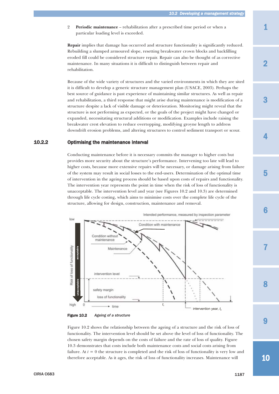<span id="page-10-0"></span>2 **Periodic maintenance** – rehabilitation after a prescribed time period or when a particular loading level is exceeded.

**Repair** implies that damage has occurred and structure functionality is significantly reduced. Rebuilding a slumped armoured slope, resetting breakwater crown blocks and backfilling eroded fill could be considered structure repair. Repair can also be thought of as corrective maintenance. In many situations it is difficult to distinguish between repair and rehabilitation.

Because of the wide variety of structures and the varied environments in which they are sited it is difficult to develop a generic structure management plan (USACE, 2003). Perhaps the best source of guidance is past experience of maintaining similar structures. As well as repair and rehabilitation, a third response that might arise during maintenance is modification of a structure despite a lack of visible damage or deterioration. Monitoring might reveal that the structure is not performing as expected, or the goals of the project might have changed or expanded, necessitating structural additions or modification. Examples include raising the breakwater crest elevation to reduce overtopping, modifying groyne length to address downdrift erosion problems, and altering structures to control sediment transport or scour.

# 10.2.2 Optimising the maintenance interval

Conducting maintenance before it is necessary commits the manager to higher costs but provides more security about the structure's performance. Intervening too late will lead to higher costs, because more extensive repairs will be necessary, or damage arising from failure of the system may result in social losses to the end-users. Determination of the optimal time of intervention in the ageing process should be based upon costs of repairs and functionality. The intervention year represents the point in time when the risk of loss of functionality is unacceptable. The intervention level and year (see Figures 10.2 and 10.3) are determined through life cycle costing, which aims to minimise costs over the complete life cycle of the structure, allowing for design, construction, maintenance and removal.





Figure 10.2 shows the relationship between the ageing of a structure and the risk of loss of functionality. The intervention level should be set above the level of loss of functionality. The chosen safety margin depends on the costs of failure and the rate of loss of quality. Figure 10.3 demonstrates that costs include both maintenance costs and social costs arising from failure. At  $t = 0$  the structure is completed and the risk of loss of functionality is very low and therefore acceptable. As it ages, the risk of loss of functionality increases. Maintenance will

1

2

3

4

8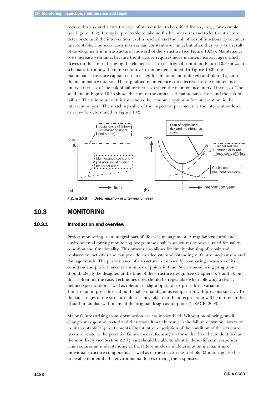<span id="page-11-0"></span>reduce this risk and allows the year of intervention to be shifted from  $t_1$  to  $t_2$ , for example (see Figure 10.2). It may be preferable to take no further measures and to let the structure deteriorate until the intervention level is reached and the risk of loss of functionality becomes unacceptable. The social costs may remain constant over time, but often they vary as a result of developments in infrastructure landward of the structure (see Figure 10.3a). Maintenance costs increase with time, because the structure requires more maintenance as it ages, which drives up the cost of bringing the element back to its original condition. Figure 10.3 shows in schematic form how the intervention year can be determined. In Figure 10.3b the maintenance costs are capitalised (corrected for inflation and indexed) and plotted against the maintenance interval. The capitalised maintenance costs decrease as the maintenance interval increases. The risk of failure increases when the maintenance interval increases. The solid line in Figure 10.3b shows the sum of the capitalised maintenance costs and the risk of failure. The minimum of this sum shows the economic optimum for intervention, ie the intervention year. The matching value of the inspection parameter, ie the intervention level, can now be determined in Figure 10.2.



Figure 10.3 *Determination of intervention year*

# 10.3 MONITORING

#### 10.3.1 Introduction and overview

Project monitoring is an integral part of life cycle management. A regular structural and environmental forcing monitoring programme enables structures to be evaluated for safety, condition and functionality. This process also allows for timely planning of repair and replacement activities and can provide an adequate understanding of failure mechanisms and damage trends. The performance of a structure is assessed by comparing measures of its condition and performance at a number of points in time. Such a monitoring programme should, ideally, be designed at the time of the structure design (see Chapters 6, 7 and 8), but this is often not the case. Techniques used should be repeatable when following a clearly defined specification as well as tolerant of slight operator or procedural variations. Interpretation procedures should enable unambiguous comparison with previous surveys. In the later stages of the structure life it is inevitable that the interpretation will be in the hands of staff unfamiliar with many of the original design assumptions (USACE, 2003).

Major failures arising from storm action are easily identified. Without monitoring, small changes may go undetected and they may ultimately result in the failure of armour layers or in unacceptably large settlements. Quantitative description of the condition of the structure needs to relate to the potential failure modes, focusing on those that have been identified as the most likely (see Section 2.3.1), and should be able to identify these different responses. This requires an understanding of the failure modes and deterioration mechanisms of individual structure components, as well as of the structure as a whole. Monitoring also has to be able to identify the environmental forces driving the responses.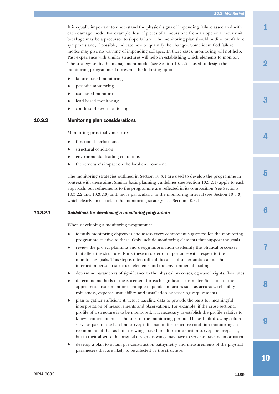#### *10.3 Monitoring*

<span id="page-12-0"></span>It is equally important to understand the physical signs of impending failure associated with each damage mode. For example, loss of pieces of armourstone from a slope or armour unit breakage may be a precursor to slope failure. The monitoring plan should outline pre-failure symptoms and, if possible, indicate how to quantify the changes. Some identified failure modes may give no warning of impending collapse. In these cases, monitoring will not help. Past experience with similar structures will help in establishing which elements to monitor. The strategy set by the management model (see Section 10.1.2) is used to design the monitoring programme. It presents the following options:

- $\bullet$ failure-based monitoring
- $\bullet$ periodic monitoring
- $\bullet$ use-based monitoring
- $\bullet$ load-based monitoring
- $\bullet$ condition-based monitoring.

# 10.3.2 Monitoring plan considerations

Monitoring principally measures:

- $\bullet$ functional performance
- $\bullet$ structural condition
- $\bullet$ environmental loading conditions
- $\bullet$ the structure's impact on the local environment.

The monitoring strategies outlined in Section 10.3.1 are used to develop the programme in context with these aims. Similar basic planning guidelines (see Section 10.3.2.1) apply to each approach, but refinements to the programme are reflected in its composition (see Sections 10.3.2.2 and 10.3.2.3) and, more particularly, in the monitoring interval (see Section 10.3.3), which clearly links back to the monitoring strategy (see Section 10.3.1).

#### *10.3.2.1 Guidelines for developing a monitoring programme*

When developing a monitoring programme:

- $\bullet$  identify monitoring objectives and assess every component suggested for the monitoring programme relative to these. Only include monitoring elements that support the goals
- $\bullet$  review the project planning and design information to identify the physical processes that affect the structure. Rank these in order of importance with respect to the monitoring goals. This step is often difficult because of uncertainties about the interaction between structure elements and the environmental loadings
- $\bullet$ determine parameters of significance to the physical processes, eg wave heights, flow rates
- $\bullet$  determine methods of measurement for each significant parameter. Selection of the appropriate instrument or technique depends on factors such as accuracy, reliability, robustness, expense, availability, and installation or servicing requirements
- $\bullet$  plan to gather sufficient structure baseline data to provide the basis for meaningful interpretation of measurements and observations. For example, if the cross-sectional profile of a structure is to be monitored, it is necessary to establish the profile relative to known control points at the start of the monitoring period. The as-built drawings often serve as part of the baseline survey information for structure condition monitoring. It is recommended that as-built drawings based on after-construction surveys be prepared, but in their absence the original design drawings may have to serve as baseline information
- $\bullet$  develop a plan to obtain pre-construction bathymetry and measurements of the physical parameters that are likely to be affected by the structure.

9

8

7

6

3

2

4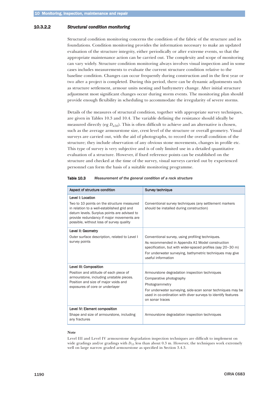#### <span id="page-13-0"></span>10.3.2.2 *Structural condition monitoring*

Structural condition monitoring concerns the condition of the fabric of the structure and its foundations. Condition monitoring provides the information necessary to make an updated evaluation of the structure integrity, either periodically or after extreme events, so that the appropriate maintenance action can be carried out. The complexity and scope of monitoring can vary widely. Structure condition monitoring always involves visual inspection and in some cases includes measurements to evaluate the current structure condition relative to the baseline condition. Changes can occur frequently during construction and in the first year or two after a project is completed. During this period, there can be dynamic adjustments such as structure settlement, armour units nesting and bathymetry change. After initial structure adjustment most significant changes occur during storm events. The monitoring plan should provide enough flexibility in scheduling to accommodate the irregularity of severe storms.

Details of the measures of structural condition, together with appropriate survey techniques, are given in Tables 10.3 and 10.4. The variable defining the resistance should ideally be measured directly (eg  $D_{n,50}$ ). This is often difficult to achieve and an alternative is chosen, such as the average armourstone size, crest level of the structure or overall geometry. Visual surveys are carried out, with the aid of photographs, to record the overall condition of the structure; they include observation of any obvious stone movements, changes in profile etc. This type of survey is very subjective and is of only limited use in a detailed quantitative evaluation of a structure. However, if fixed reference points can be established on the structure and checked at the time of the survey, visual surveys carried out by experienced personnel can form the basis of a suitable monitoring programme.

#### Table 10.3 *Measurement of the general condition of a rock structure*

| Aspect of structure condition                                                                                                                                                                                                                         | <b>Survey technique</b>                                                                                                                                                                                                                                |
|-------------------------------------------------------------------------------------------------------------------------------------------------------------------------------------------------------------------------------------------------------|--------------------------------------------------------------------------------------------------------------------------------------------------------------------------------------------------------------------------------------------------------|
| Level I: Location<br>Two to 10 points on the structure measured<br>in relation to a well-established grid and<br>datum levels. Surplus points are advised to<br>provide redundancy if major movements are<br>possible, without loss of survey quality | Conventional survey techniques (any settlement markers<br>should be installed during construction)                                                                                                                                                     |
| Level II: Geometry<br>Outer surface description, related to Level I<br>survey points                                                                                                                                                                  | Conventional survey, using profiling techniques.<br>As recommended in Appendix A1 Model construction<br>specification, but with wider-spaced profiles (say 20-30 m)<br>For underwater surveying, bathymetric techniques may give<br>useful information |
| Level III: Composition<br>Position and attitude of each piece of<br>armourstone, including unstable pieces.<br>Position and size of major voids and<br>exposures of core or underlayer                                                                | Armourstone degradation inspection techniques<br>Comparative photography<br>Photogrammetry<br>For underwater surveying, side-scan sonar techniques may be<br>used in co-ordination with diver surveys to identify features<br>on sonar traces          |
| Level IV: Element composition<br>Shape and size of armourstone, including<br>any fractures                                                                                                                                                            | Armourstone degradation inspection techniques                                                                                                                                                                                                          |

#### **Note**

Level III and Level IV armourstone degradation inspection techniques are difficult to implement on wide gradings and/or gradings with  $D_{15}$  less than about 0.3 m. However, the techniques work extremely well on large narrow graded armourstone as specified in Section 3.4.3.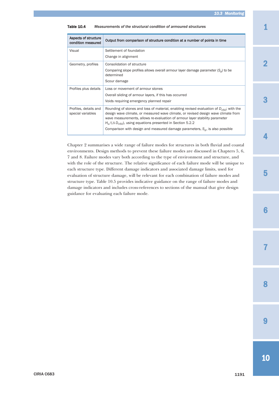| Aspects of structure<br>condition measured | Output from comparison of structure condition at a number of points in time                                                                                                                                                                                                                                                              |
|--------------------------------------------|------------------------------------------------------------------------------------------------------------------------------------------------------------------------------------------------------------------------------------------------------------------------------------------------------------------------------------------|
| Visual                                     | Settlement of foundation<br>Change in alignment                                                                                                                                                                                                                                                                                          |
| Geometry, profiles                         | Consolidation of structure<br>Comparing slope profiles allows overall armour layer damage parameter $(S_d)$ to be<br>determined<br>Scour damage                                                                                                                                                                                          |
| Profiles plus details                      | Loss or movement of armour stones<br>Overall sliding of armour layers, if this has occurred<br>Voids requiring emergency planned repair                                                                                                                                                                                                  |
| Profiles, details and<br>special variables | Rounding of stones and loss of material, enabling revised evaluation of $D_{n50}$ ; with the<br>design wave climate, or measured wave climate, or revised design wave climate from<br>wave measurements, allows re-evaluation of armour layer stability parameter<br>$H_s/(\Delta D_{n50})$ , using equations presented in Section 5.2.2 |
|                                            | Comparison with design and measured damage parameters, $S_d$ , is also possible                                                                                                                                                                                                                                                          |

#### Table 10.4 *Measurements of the structural condition of armoured structures*

Chapter 2 summarises a wide range of failure modes for structures in both fluvial and coastal environments. Design methods to prevent these failure modes are discussed in Chapters 5, 6, 7 and 8. Failure modes vary both according to the type of environment and structure, and with the role of the structure. The relative significance of each failure mode will be unique to each structure type. Different damage indicators and associated damage limits, used for evaluation of structure damage, will be relevant for each combination of failure modes and structure type. Table 10.5 provides indicative guidance on the range of failure modes and damage indicators and includes cross-references to sections of the manual that give design guidance for evaluating each failure mode.

2

3

4



6

7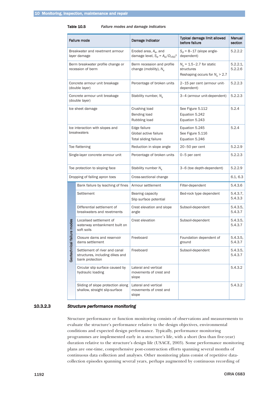#### <span id="page-15-0"></span>Table 10.5 *Failure modes and damage indicators*

| <b>Failure mode</b>                             |                                                                                     | Damage indicator                                                      | Typical damage limit allowed<br>before failure                               | Manual<br>section   |
|-------------------------------------------------|-------------------------------------------------------------------------------------|-----------------------------------------------------------------------|------------------------------------------------------------------------------|---------------------|
| Breakwater and revetment armour<br>layer damage |                                                                                     | Eroded area, $A_e$ , and<br>damage level, $S_d = A_e/D_{n50}^2$       | $S_d$ = 8-17 (slope angle-<br>dependent)                                     | 5.2.2.2             |
|                                                 | Berm breakwater profile change or<br>recession of berm                              | Berm recession and profile<br>change (mobility), $N_s$                | $N_s$ = 1.5-2.7 for static<br>structures<br>Reshaping occurs for $N_s > 2.7$ | 5.2.2.1,<br>5.2.2.6 |
|                                                 | Concrete armour unit breakage<br>(double layer)                                     | Percentage of broken units                                            | 2-15 per cent (armour unit-<br>dependent)                                    | 5.2.2.3             |
|                                                 | Concrete armour unit breakage<br>(double layer)                                     | Stability number, $N_s$                                               | 3-4 (armour unit-dependent)                                                  | 5.2.2.3             |
|                                                 | Ice sheet damage                                                                    | Crushing load<br><b>Bending load</b><br>Rubbling load                 | See Figure 5.112<br>Equation 5.242<br>Equation 5.243                         | 5.2.4               |
| Ice interaction with slopes and<br>breakwaters  |                                                                                     | Edge failure<br>Global active failure<br><b>Total sliding failure</b> | Equation 5.245<br>See Figure 5.116<br>Equation 5.246                         | 5.2.4               |
|                                                 | Toe flattening                                                                      | Reduction in slope angle                                              | $20-50$ per cent                                                             | 5.2.2.9             |
|                                                 | Single-layer concrete armour unit                                                   | Percentage of broken units                                            | 0-5 per cent                                                                 | 5.2.2.3             |
|                                                 | Toe protection to sloping face                                                      | Stability number $N_s$                                                | 3-6 (toe depth-dependent)                                                    | 5.2.2.9             |
| Dropping of falling apron toes                  |                                                                                     | Cross-sectional change                                                |                                                                              | 6.1, 6.3            |
|                                                 | Bank failure by leaching of fines                                                   | Armour settlement                                                     | Filter-dependent                                                             | 5.4.3.6             |
|                                                 | Settlement                                                                          | Bearing capacity<br>Slip surface potential                            | Bed-rock type dependent                                                      | 5.4.3.7,<br>5.4.3.3 |
|                                                 | Differential settlement of<br>breakwaters and revetments                            | Crest elevation and slope<br>angle                                    | Subsoil-dependent                                                            | 5.4.3.5,<br>5.4.3.7 |
| failure modes<br>Geotechnical                   | Localised settlement of<br>waterway embankment built on<br>soft soils               | Crest elevation                                                       | Subsoil-dependent                                                            | 5.4.3.5,<br>5.4.3.7 |
|                                                 | Closure dams and reservoir<br>dams settlement                                       | Freeboard                                                             | Foundation dependent of<br>ground                                            | 5.4.3.5,<br>5.4.3.7 |
|                                                 | Settlement of river and canal<br>structures, including dikes and<br>bank protection | Freeboard                                                             | Subsoil-dependent                                                            | 5.4.3.5,<br>5.4.3.7 |
|                                                 | Circular slip surface caused by<br>hydraulic loading                                | Lateral and vertical<br>movements of crest and<br>slope               |                                                                              | 5.4.3.2             |
|                                                 | Sliding of slope protection along<br>shallow, straight slip-surface                 | Lateral and vertical<br>movements of crest and<br>slope               |                                                                              | 5.4.3.2             |

#### 10.3.2.3 *Structure performance monitoring*

Structure performance or function monitoring consists of observations and measurements to evaluate the structure's performance relative to the design objectives, environmental conditions and expected design performance. Typically, performance monitoring programmes are implemented early in a structure's life, with a short (less than five-year) duration relative to the structure's design life (USACE, 2003). Some performance monitoring plans are one-time, comprehensive post-construction efforts spanning several months of continuous data collection and analyses. Other monitoring plans consist of repetitive datacollection episodes spanning several years, perhaps augmented by continuous recording of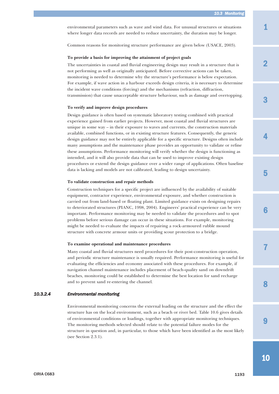<span id="page-16-0"></span>environmental parameters such as wave and wind data. For unusual structures or situations where longer data records are needed to reduce uncertainty, the duration may be longer.

Common reasons for monitoring structure performance are given below (USACE, 2003).

#### **To provide a basis for improving the attainment of project goals**

The uncertainties in coastal and fluvial engineering design may result in a structure that is not performing as well as originally anticipated. Before corrective actions can be taken, monitoring is needed to determine why the structure's performance is below expectation. For example, if wave action in a harbour exceeds design criteria, it is necessary to determine the incident wave conditions (forcing) and the mechanisms (refraction, diffraction, transmission) that cause unacceptable structure behaviour, such as damage and overtopping.

#### **To verify and improve design procedures**

Design guidance is often based on systematic laboratory testing combined with practical experience gained from earlier projects. However, most coastal and fluvial structures are unique in some way – in their exposure to waves and currents, the construction materials available, combined functions, or in existing structure features. Consequently, the generic design guidance may not be entirely applicable for a specific structure. Designs often include many assumptions and the maintenance phase provides an opportunity to validate or refine these assumptions. Performance monitoring will verify whether the design is functioning as intended, and it will also provide data that can be used to improve existing design procedures or extend the design guidance over a wider range of applications. Often baseline data is lacking and models are not calibrated, leading to design uncertainty.

#### **To validate construction and repair methods**

Construction techniques for a specific project are influenced by the availability of suitable equipment, contractor experience, environmental exposure, and whether construction is carried out from land-based or floating plant. Limited guidance exists on designing repairs to deteriorated structures (PIANC, 1998, 2004). Engineers' practical experience can be very important. Performance monitoring may be needed to validate the procedures and to spot problems before serious damage can occur in these situations. For example, monitoring might be needed to evaluate the impacts of repairing a rock-armoured rubble mound structure with concrete armour units or providing scour protection to a bridge.

#### **To examine operational and maintenance procedures**

Many coastal and fluvial structures need procedures for their post-construction operation, and periodic structure maintenance is usually required. Performance monitoring is useful for evaluating the efficiencies and economy associated with these procedures. For example, if navigation channel maintenance includes placement of beach-quality sand on downdrift beaches, monitoring could be established to determine the best location for sand recharge and to prevent sand re-entering the channel.

#### *10.3.2.4 Environmental monitoring*

Environmental monitoring concerns the external loading on the structure and the effect the structure has on the local environment, such as a beach or river bed. Table 10.6 gives details of environmental conditions or loadings, together with appropriate monitoring techniques. The monitoring methods selected should relate to the potential failure modes for the structure in question and, in particular, to those which have been identified as the most likely (see Section 2.3.1).

3

2

4

5

9

8

7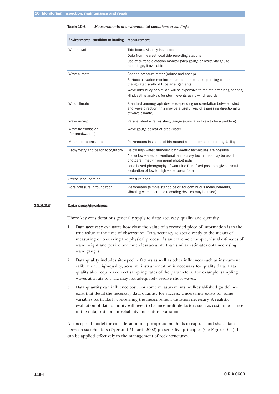<span id="page-17-0"></span>Table 10.6 *Measurements of environmental conditions or loadings*

| <b>Environmental condition or loading</b> | <b>Measurement</b>                                                                                                                                                                                                                                                                                    |
|-------------------------------------------|-------------------------------------------------------------------------------------------------------------------------------------------------------------------------------------------------------------------------------------------------------------------------------------------------------|
| Water level                               | Tide board, visually inspected<br>Data from nearest local tide recording stations<br>Use of surface elevation monitor (step gauge or resistivity gauge)<br>recordings, if available                                                                                                                   |
| Wave climate                              | Seabed pressure meter (robust and cheap)<br>Surface elevation monitor mounted on robust support (eg pile or<br>triangulated scaffold tube arrangement)<br>Wave-rider buoy or similar (will be expensive to maintain for long periods)<br>Hindcasting analysis for storm events using wind records     |
| Wind climate                              | Standard anemograph device (depending on correlation between wind<br>and wave direction, this may be a useful way of assessing directionality<br>of wave climate)                                                                                                                                     |
| Wave run-up                               | Parallel steel wire resistivity gauge (survival is likely to be a problem)                                                                                                                                                                                                                            |
| Wave transmission<br>(for breakwaters)    | Wave gauge at rear of breakwater                                                                                                                                                                                                                                                                      |
| Mound pore pressures                      | Piezometers installed within mound with automatic recording facility                                                                                                                                                                                                                                  |
| Bathymetry and beach topography           | Below high water, standard bathymetric techniques are possible<br>Above low water, conventional land-survey techniques may be used or<br>photogrammetry from aerial photography<br>Land-based photography of waterline from fixed positions gives useful<br>evaluation of low to high water beachform |
| Stress in foundation                      | Pressure pads                                                                                                                                                                                                                                                                                         |
| Pore pressure in foundation               | Piezometers (simple standpipe or, for continuous measurements,<br>vibrating-wire electronic recording devices may be used)                                                                                                                                                                            |

#### *10.3.2.5 Data considerations*

Three key considerations generally apply to data: accuracy, quality and quantity.

- 1 **Data accuracy** evaluates how close the value of a recorded piece of information is to the true value at the time of observation. Data accuracy relates directly to the means of measuring or observing the physical process. As an extreme example, visual estimates of wave height and period are much less accurate than similar estimates obtained using wave gauges.
- 2 **Data quality** includes site-specific factors as well as other influences such as instrument calibration. High-quality, accurate instrumentation is necessary for quality data. Data quality also requires correct sampling rates of the parameters. For example, sampling waves at a rate of 1 Hz may not adequately resolve short waves.
- 3 **Data quantity** can influence cost. For some measurements, well-established guidelines exist that detail the necessary data quantity for success. Uncertainty exists for some variables particularly concerning the measurement duration necessary. A realistic evaluation of data quantity will need to balance multiple factors such as cost, importance of the data, instrument reliability and natural variations.

A conceptual model for consideration of appropriate methods to capture and share data between stakeholders (Dyer and Millard, 2002) presents five principles (see Figure 10.4) that can be applied effectively to the management of rock structures.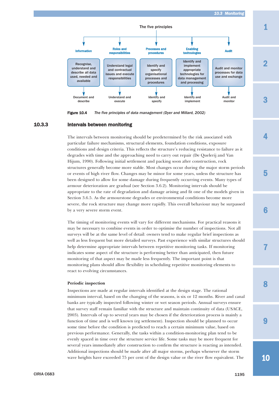<span id="page-18-0"></span>

Figure 10.4 *The five principles of data management (Dyer and Millard, 2002)*

#### 10.3.3 Intervals between monitoring

The intervals between monitoring should be predetermined by the risk associated with particular failure mechanisms, structural elements, foundation conditions, exposure conditions and design criteria. This reflects the structure's reducing resistance to failure as it degrades with time and the approaching need to carry out repair (De Quelerij and Van Hijum, 1990). Following initial settlement and packing soon after construction, rock structures generally become more stable. Most changes occur during the major storm periods or events of high river flow. Changes may be minor for some years, unless the structure has been designed to allow for some damage during frequently occurring events. Many types of armour deterioration are gradual (see Section 3.6.2). Monitoring intervals should be appropriate to the rate of degradation and damage arising and fit one of the models given in Section 3.6.5. As the armourstone degrades or environmental conditions become more severe, the rock structure may change more rapidly. This overall behaviour may be surpassed by a very severe storm event.

The timing of monitoring events will vary for different mechanisms. For practical reasons it may be necessary to combine events in order to optimise the number of inspections. Not all surveys will be at the same level of detail: owners tend to make regular brief inspections as well as less frequent but more detailed surveys. Past experience with similar structures should help determine appropriate intervals between repetitive monitoring tasks. If monitoring indicates some aspect of the structure is performing better than anticipated, then future monitoring of that aspect may be made less frequently. The important point is that monitoring plans should allow flexibility in scheduling repetitive monitoring elements to react to evolving circumstances.

#### **Periodic inspection**

Inspections are made at regular intervals identified at the design stage. The rational minimum interval, based on the changing of the seasons, is six or 12 months. River and canal banks are typically inspected following winter or wet season periods. Annual surveys ensure that survey staff remain familiar with the structure and maintain continuity of data (USACE, 2003). Intervals of up to several years may be chosen if the deterioration process is mainly a function of time and is well known (eg settlement). Inspection should be planned to occur some time before the condition is predicted to reach a certain minimum value, based on previous performance. Generally, the tasks within a condition-monitoring plan tend to be evenly spaced in time over the structure service life. Some tasks may be more frequent for several years immediately after construction to confirm the structure is reacting as intended. Additional inspections should be made after all major storms, perhaps whenever the storm wave heights have exceeded 75 per cent of the design value or the river flow equivalent. The

5

1

3

2

4

6

7

8

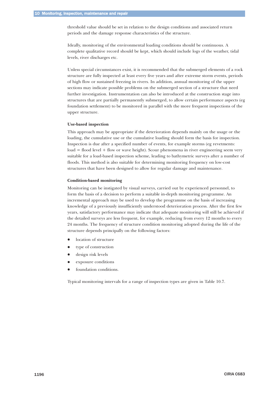threshold value should be set in relation to the design conditions and associated return periods and the damage response characteristics of the structure.

Ideally, monitoring of the environmental loading conditions should be continuous. A complete qualitative record should be kept, which should include logs of the weather, tidal levels, river discharges etc.

Unless special circumstances exist, it is recommended that the submerged elements of a rock structure are fully inspected at least every five years and after extreme storm events, periods of high flow or sustained freezing in rivers. In addition, annual monitoring of the upper sections may indicate possible problems on the submerged section of a structure that need further investigation. Instrumentation can also be introduced at the construction stage into structures that are partially permanently submerged, to allow certain performance aspects (eg foundation settlement) to be monitored in parallel with the more frequent inspections of the upper structure.

#### **Use-based inspection**

This approach may be appropriate if the deterioration depends mainly on the usage or the loading, the cumulative use or the cumulative loading should form the basis for inspection. Inspection is due after a specified number of events, for example storms (eg revetments: load = flood level + flow or wave height). Scour phenomena in river engineering seem very suitable for a load-based inspection scheme, leading to bathymetric surveys after a number of floods. This method is also suitable for determining monitoring frequency on low-cost structures that have been designed to allow for regular damage and maintenance.

#### **Condition-based monitoring**

Monitoring can be instigated by visual surveys, carried out by experienced personnel, to form the basis of a decision to perform a suitable in-depth monitoring programme. An incremental approach may be used to develop the programme on the basis of increasing knowledge of a previously insufficiently understood deterioration process. After the first few years, satisfactory performance may indicate that adequate monitoring will still be achieved if the detailed surveys are less frequent, for example, reducing from every 12 months to every 24 months. The frequency of structure condition monitoring adopted during the life of the structure depends principally on the following factors:

- $\bullet$ location of structure
- $\bullet$ type of construction
- $\bullet$ design risk levels
- $\bullet$ exposure conditions
- $\bullet$ foundation conditions.

Typical monitoring intervals for a range of inspection types are given in Table 10.7.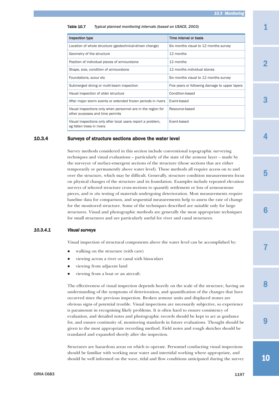<span id="page-20-0"></span>

| <b>Table 10.7</b> | Typical planned monitoring intervals (based on USACE, 2003) |  |
|-------------------|-------------------------------------------------------------|--|
|                   |                                                             |  |

| Inspection type                                                                                 | Time interval or basis                         |
|-------------------------------------------------------------------------------------------------|------------------------------------------------|
| Location of whole structure (geotechnical-driven change)                                        | Six months visual to 12 months survey          |
| Geometry of the structure                                                                       | 12 months                                      |
| Position of individual pieces of armourstone                                                    | 12 months                                      |
| Shape, size, condition of armourstone                                                           | 12 months individual stones                    |
| Foundations, scour etc                                                                          | Six months visual to 12 months survey          |
| Submerged diving or multi-beam inspection                                                       | Five years or following damage to upper layers |
| Visual inspection of older structure                                                            | Condition-based                                |
| After major storm events or extended frozen periods in rivers                                   | Event-based                                    |
| Visual inspections only when personnel are in the region for<br>other purposes and time permits | Resource-based                                 |
| Visual inspections only after local users report a problem,<br>eg fallen trees in rivers        | Event-based                                    |

# 10.3.4 Surveys of structure sections above the water level

Survey methods considered in this section include conventional topographic surveying techniques and visual evaluations – particularly of the state of the armour layer – made by the surveyor of surface-emergent sections of the structure (those sections that are either temporarily or permanently above water level). These methods all require access on to and over the structure, which may be difficult. Generally, structure condition measurements focus on physical changes of the structure and its foundation. Examples include repeated elevation surveys of selected structure cross-sections to quantify settlement or loss of armourstone pieces, and *in situ* testing of materials undergoing deterioration. Most measurements require baseline data for comparison, and sequential measurements help to assess the rate of change for the monitored structure. Some of the techniques described are suitable only for large structures. Visual and photographic methods are generally the most appropriate techniques for small structures and are particularly useful for river and canal structures.

#### *10.3.4.1 Visual surveys*

Visual inspection of structural components above the water level can be accomplished by:

- $\bullet$ walking on the structure (with care)
- $\bullet$ viewing across a river or canal with binoculars
- $\bullet$ viewing from adjacent land
- $\bullet$ viewing from a boat or an aircraft.

The effectiveness of visual inspection depends heavily on the scale of the structure, having an understanding of the symptoms of deterioration, and quantification of the changes that have occurred since the previous inspection. Broken armour units and displaced stones are obvious signs of potential trouble. Visual inspections are necessarily subjective, so experience is paramount in recognising likely problems. It is often hard to ensure consistency of evaluation, and detailed notes and photographic records should be kept to act as guidance for, and ensure continuity of, monitoring standards in future evaluations. Thought should be given to the most appropriate recording method. Field notes and rough sketches should be translated and expanded shortly after the inspection.

Structures are hazardous areas on which to operate. Personnel conducting visual inspections should be familiar with working near water and intertidal working where appropriate, and should be well informed on the wave, tidal and flow conditions anticipated during the survey 1

2

3

4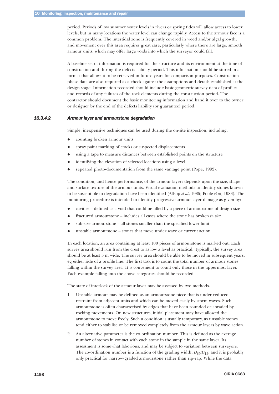<span id="page-21-0"></span>period. Periods of low summer water levels in rivers or spring tides will allow access to lower levels, but in many locations the water level can change rapidly. Access to the armour face is a common problem. The intertidal zone is frequently covered in weed and/or algal growth, and movement over this area requires great care, particularly where there are large, smooth armour units, which may offer large voids into which the surveyor could fall.

A baseline set of information is required for the structure and its environment at the time of construction and during the defects liability period. This information should be stored in a format that allows it to be retrieved in future years for comparison purposes. Constructionphase data are also required as a check against the assumptions and details established at the design stage. Information recorded should include basic geometric survey data of profiles and records of any failures of the rock elements during the construction period. The contractor should document the basic monitoring information and hand it over to the owner or designer by the end of the defects liability (or guarantee) period.

## *10.3.4.2 Armour layer and armourstone degradation*

Simple, inexpensive techniques can be used during the on-site inspection, including:

- $\bullet$ counting broken armour units
- $\bullet$ spray paint marking of cracks or suspected displacements
- $\bullet$ using a tape to measure distances between established points on the structure
- $\bullet$ identifying the elevation of selected locations using a level
- $\bullet$ repeated photo-documentation from the same vantage point (Pope, 1992).

The condition, and hence performance, of the armour layers depends upon the size, shape and surface texture of the armour units. Visual evaluation methods to identify stones known to be susceptible to degradation have been identified (Allsop *et al*, 1985; Poole *et al*, 1983). The monitoring procedure is intended to identify progressive armour layer damage as given by:

- $\bullet$ cavities – defined as a void that could be filled by a piece of armourstone of design size
- $\bullet$ fractured armourstone – includes all cases where the stone has broken *in situ*
- $\bullet$ sub-size armourstone – all stones smaller than the specified lower limit
- $\bullet$ unstable armourstone – stones that move under wave or current action.

In each location, an area containing at least 100 pieces of armourstone is marked out. Each survey area should run from the crest to as low a level as practical. Typically, the survey area should be at least 5 m wide. The survey area should be able to be moved in subsequent years, eg either side of a profile line. The first task is to count the total number of armour stones falling within the survey area. It is convenient to count only those in the uppermost layer. Each example falling into the above categories should be recorded.

The state of interlock of the armour layer may be assessed by two methods.

- 1 Unstable armour may be defined as an armourstone piece that is under reduced restraint from adjacent units and which can be moved easily by storm waves. Such armourstone is often characterised by edges that have been rounded or abraded by rocking movements. On new structures, initial placement may have allowed the armourstone to move freely. Such a condition is usually temporary, as unstable stones tend either to stabilise or be removed completely from the armour layers by wave action.
- 2 An alternative parameter is the co-ordination number. This is defined as the average number of stones in contact with each stone in the sample in the same layer. Its assessment is somewhat laborious, and may be subject to variation between surveyors. The co-ordination number is a function of the grading width,  $D_{85}/D_{15}$ , and it is probably only practical for narrow-graded armourstone rather than rip-rap. While the data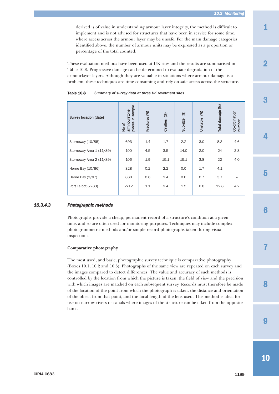*10.3 Monitoring*

<span id="page-22-0"></span>derived is of value in understanding armour layer integrity, the method is difficult to implement and is not advised for structures that have been in service for some time, where access across the armour layer may be unsafe. For the main damage categories identified above, the number of armour units may be expressed as a proportion or percentage of the total counted.

These evaluation methods have been used at UK sites and the results are summarised in Table 10.8. Progressive damage can be determined to evaluate degradation of the armourlayer layers. Although they are valuable in situations where armour damage is a problem, these techniques are time-consuming and rely on safe access across the structure.

| Table 10.8 | Summary of survey data at three UK revetment sites |  |  |
|------------|----------------------------------------------------|--|--|
|------------|----------------------------------------------------|--|--|

| Survey location (date)   | pieces in sample<br>armnourstone<br>No of | Fractures (%) | 8<br>Cavities | $\circledast$<br>Sub-size | $\circledast$<br>Unstable | $\circledast$<br>Total damage | Co-ordination<br>number |
|--------------------------|-------------------------------------------|---------------|---------------|---------------------------|---------------------------|-------------------------------|-------------------------|
| Stornoway (10/85)        | 693                                       | 1.4           | 1.7           | 2.2                       | 3.0                       | 8.3                           | 4.6                     |
| Stornoway Area 1 (11/89) | 100                                       | 4.5           | 3.5           | 14.0                      | 2.0                       | 24                            | 3.8                     |
| Stornoway Area 2 (11/89) | 106                                       | 1.9           | 15.1          | 15.1                      | 3.8                       | 22                            | 4.0                     |
| Herne Bay (10/86)        | 828                                       | 0.2           | 2.2           | 0.0                       | 1.7                       | 4.1                           |                         |
| Herne Bay (2/87)         | 860                                       | 0.6           | 2.4           | 0.0                       | 0.7                       | 3.7                           |                         |
| Port Talbot (7/83)       | 2712                                      | 1.1           | 9.4           | 1.5                       | 0.8                       | 12.8                          | 4.2                     |

#### *10.3.4.3 Photographic methods*

Photographs provide a cheap, permanent record of a structure's condition at a given time, and so are often used for monitoring purposes. Techniques may include complex photogrammetric methods and/or simple record photographs taken during visual inspections.

#### **Comparative photography**

The most used, and basic, photographic survey technique is comparative photography (Boxes 10.1, 10.2 and 10.3). Photographs of the same view are repeated on each survey and the images compared to detect differences. The value and accuracy of such methods is controlled by the location from which the picture is taken, the field of view and the precision with which images are matched on each subsequent survey. Records must therefore be made of the location of the point from which the photograph is taken, the distance and orientation of the object from that point, and the focal length of the lens used. This method is ideal for use on narrow rivers or canals where images of the structure can be taken from the opposite bank.

4

3



7

8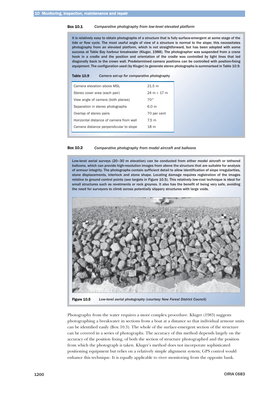#### Box 10.1 *Comparative photography from low-level elevated platform*

It is relatively easy to obtain photographs of a structure that is fully surface-emergent at some stage of the tide or flow cycle. The most useful angle of view of a structure is normal to the slope; this necessitates photography from an elevated platform, which is not straightforward, but has been adopted with some success at Table Bay harbour breakwater (Kluger, 1988). The photographer was suspended from a crane hook in a cradle and the position and orientation of the cradle was controlled by light lines that led diagonally back to the crown wall. Predetermined camera positions can be controlled with position-fixing equipment. The configuration used (by Kluger) to generate stereo photographs is summarised in Table 10.9.

|  | <b>Table 10.9</b> |  | Camera set-up for comparative photography |  |
|--|-------------------|--|-------------------------------------------|--|
|--|-------------------|--|-------------------------------------------|--|

| Camera elevation above MSL              | 21.5 m                             |
|-----------------------------------------|------------------------------------|
| Stereo cover area (each pair)           | $24 \text{ m} \times 17 \text{ m}$ |
| View angle of camera (both planes)      | $70^{\circ}$                       |
| Separation in stereo photographs        | 6.0 m                              |
| Overlap of stereo pairs                 | 70 per cent                        |
| Horizontal distance of camera from wall | 7.5 m                              |
| Camera distance perpendicular to slope  | 18 <sub>m</sub>                    |

Box 10.2 *Comparative photography from model aircraft and balloons*

Low-level aerial surveys (20–30 m elevation) can be conducted from either model aircraft or tethered balloons, which can provide high-resolution images from above the structure that are suitable for analysis of armour integrity. The photographs contain sufficient detail to allow identification of slope irregularities, stone displacements, interlock and stone shape. Locating damage requires registration of the images relative to ground control points (see targets in Figure 10.5). This relatively low-cost technique is ideal for small structures such as revetments or rock groynes. It also has the benefit of being very safe, avoiding the need for surveyors to climb across potentially slippery structures with large voids.



Figure 10.5 *Low-level aerial photography (courtesy New Forest District Council)*

Photography from the water requires a more complex procedure. Kluger (1983) suggests photographing a breakwater in sections from a boat at a distance so that individual armour units can be identified easily (Box 10.3). The whole of the surface-emergent section of the structure can be covered in a series of photographs. The accuracy of this method depends largely on the accuracy of the position fixing, of both the section of structure photographed and the position from which the photograph is taken. Kluger's method does not incorporate sophisticated positioning equipment but relies on a relatively simple alignment system; GPS control would enhance this technique. It is equally applicable to river monitoring from the opposite bank.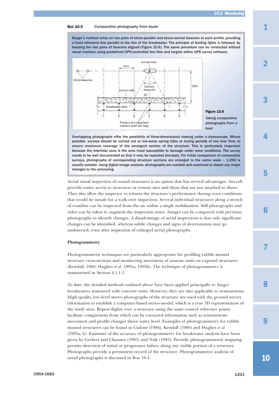1

2

3

4

5

#### Box 10.3 *Comparative photography from boats*

Kluger's method relies on two pairs of shore-parallel and shore-normal beacons at each profile, providing a fixed reference line parallel to the line of the breakwater. The principle of *leading lights* is followed, by keeping the two pairs of beacons aligned (Figure 10.6). The same procedure can be conducted without visual markers using predefined GPS-controlled line files and targets within GPS survey software.



# Figure 10.6

*Taking comparative photographs from a boat*

Overlapping photographs offer the possibility of three-dimensional viewing under a stereoscope. Where possible, surveys should be carried out at low-water spring tides or during periods of low river flow, to ensure maximum coverage of the emergent section of the structure. This is particularly important because the intertidal zone is the area most susceptible to damage under wave conditions. The survey needs to be well documented so that it may be repeated precisely. For initial comparison of consecutive surveys, photographs of corresponding structure sections are enlarged to the same scale – 1:250 is usually suitable. Using digital image analysis, photographs are overlaid and examined to detect any major changes to the armouring.

Aerial visual inspection of coastal structures is an option that has several advantages. Aircraft provide easier access to structures at remote sites and those that are not attached to shore. They also allow the inspector to witness the structure's performance during wave conditions that would be unsafe for a walk-over inspection. Several individual structures along a stretch of coastline can be inspected from the air within a single mobilisation. Still photographs and video can be taken to augment the inspection notes. Images can be compared with previous photographs to identify changes. A disadvantage of aerial inspections is that only significant changes can be identified, whereas subtle changes and signs of deterioration may go undetected, even after inspection of enlarged aerial photographs.

#### **Photogrammetry**

Photogrammetric techniques are particularly appropriate for profiling rubble mound structure cross-sections and monitoring movement of armour units on exposed structures (Kendall, 1989; Hughes *et al*, 1995a, 1995b). The technique of photogrammetry is summarised in Section 4.1.1.1.

To date, the detailed methods outlined above have been applied principally to (large) breakwaters armoured with concrete units. However, they are also applicable to armourstone. High-quality, low-level stereo photographs of the structure are used with the ground survey information to establish a computer-based stereo-model, which is a true 3D representation of the study area. Repeat flights over a structure using the same control reference points facilitate comparisons from which can be extracted information such as armourstone movement and profile changes above water level. Examples of photogrammetry for rubble mound structures can be found in Cialone (1984), Kendall (1989) and Hughes *et al* (1995a, b). Estimates of the accuracy of photogrammetry for breakwater analysis have been given by Gerbert and Clausner (1985) and Nale (1983). Periodic photogrammetric mapping permits detection of initial or progressive failure along any visible portion of a structure. Photographs provide a permanent record of the structure. Photogrammetric analysis of aerial photographs is discussed in Box 10.4.

10

 $\mathbf Q$ 

8

7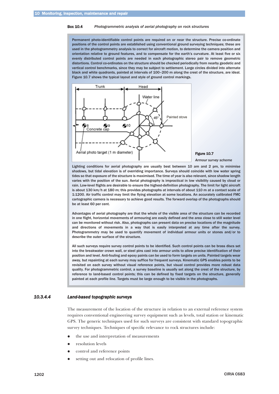#### <span id="page-25-0"></span>Box 10.4 *Photogrammetric analysis of aerial photography on rock structures*

Permanent photo-identifiable control points are required on or near the structure. Precise co-ordinate positions of the control points are established using conventional ground surveying techniques; these are used in the photogrammetry analysis to correct for aircraft motion, to determine the camera position and orientation relative to ground features, and to compensate for the earth's curvature. At least five or six evenly distributed control points are needed in each photographic stereo pair to remove geometric distortions. Control co-ordinates on the structure should be checked periodically from nearby geodetic and vertical control benchmarks, since they may be subject to settlement. Large circles divided into alternate black and white quadrants, painted at intervals of 100–200 m along the crest of the structure, are ideal. Figure 10.7 shows the typical layout and style of ground control markings.



Figure 10.7

*Armour survey scheme*

Lighting conditions for aerial photography are usually best between 10 am and 2 pm, to minimise shadows, but tidal elevation is of overriding importance. Surveys should coincide with low water spring tides so that exposure of the structure is maximised. The time of year is also relevant, since shadow length varies with the position of the sun. Aerial photography is impractical in low visibility caused by cloud or rain. Low-level flights are desirable to ensure the highest-definition photography. The limit for light aircraft is about 130 km/h at 180 m; this provides photographs at intervals of about 110 m at a contact scale of 1:1200. Air traffic control may limit the flying elevation at some locations. An accurately calibrated FMC cartographic camera is necessary to achieve good results. The forward overlap of the photographs should be at least 60 per cent.

Advantages of aerial photography are that the whole of the visible area of the structure can be recorded in one flight, horizontal movements of armouring are easily defined and the area close to still water level can be monitored without risk. Also, photographs can present data on precise locations of the magnitude and directions of movements in a way that is easily interpreted at any time after the survey. Photogrammetry may be used to quantify movement of individual armour units or stones and/or to describe the outer surface of the structure.

All such surveys require survey control points to be identified. Such control points can be brass discs set into the breakwater crown wall, or steel pins cast into armour units to allow precise identification of their position and level. Anti-fouling and epoxy paints can be used to form targets on units. Painted targets wear away, but repainting at each survey may suffice for frequent surveys. Kinematic GPS enables points to be revisited on each survey without visual reference points, but visual control provides more robust data quality. For photogrammetric control, a survey baseline is usually set along the crest of the structure, by reference to land-based control points; this can be defined by fixed targets on the structure, generally painted at each profile line. Targets must be large enough to be visible in the photographs.

#### *10.3.4.4 Land-based topographic surveys*

The measurement of the location of the structure in relation to an external reference system requires conventional engineering survey equipment such as levels, total station or kinematic GPS. The generic techniques used for such surveys are consistent with standard topographic survey techniques. Techniques of specific relevance to rock structures include:

- $\bullet$ the use and interpretation of measurements
- $\bullet$ resolution levels
- $\bullet$ control and reference points
- $\bullet$ setting out and relocation of profile lines.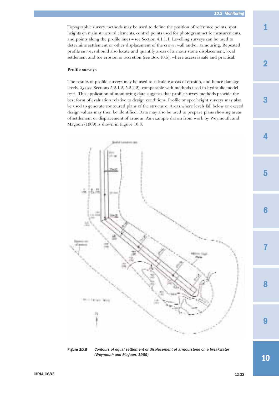Topographic survey methods may be used to define the position of reference points, spot heights on main structural elements, control points used for photogrammetric measurements, and points along the profile lines – see Section 4.1.1.1. Levelling surveys can be used to determine settlement or other displacement of the crown wall and/or armouring. Repeated profile surveys should also locate and quantify areas of armour stone displacement, local settlement and toe erosion or accretion (see Box 10.5), where access is safe and practical.

#### **Profile surveys**

The results of profile surveys may be used to calculate areas of erosion, and hence damage levels, *Sd* (see Sections 5.2.1.2, 5.2.2.2), comparable with methods used in hydraulic model tests. This application of monitoring data suggests that profile survey methods provide the best form of evaluation relative to design conditions. Profile or spot height surveys may also be used to generate contoured plans of the structure. Areas where levels fall below or exceed design values may then be identified. Data may also be used to prepare plans showing areas of settlement or displacement of armour. An example drawn from work by Weymouth and Magoon (1969) is shown in Figure 10.8.





1

2

3

4

7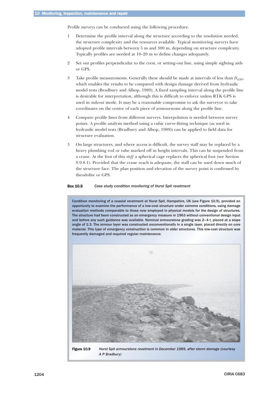Profile surveys can be conducted using the following procedure.

- 1 Determine the profile interval along the structure according to the resolution needed, the structure complexity and the resources available. Typical monitoring surveys have adopted profile intervals between 5 m and 300 m, depending on structure complexity. Typically profiles are needed at 10–20 m to define changes adequately.
- 2 Set out profiles perpendicular to the crest, or setting-out line, using simple sighting aids or GPS.
- 3 Take profile measurements. Generally these should be made at intervals of less than  $D_{n50}$ , which enables the results to be compared with design damage derived from hydraulic model tests (Bradbury and Allsop, 1989). A fixed sampling interval along the profile line is desirable for interpretation, although this is difficult to enforce unless RTK GPS is used in *stakeout* mode. It may be a reasonable compromise to ask the surveyor to take coordinates on the centre of each piece of armourstone along the profile line.
- 4 Compare profile lines from different surveys. Interpolation is needed between survey points. A profile analysis method using a cubic curve-fitting technique (as used in hydraulic model tests (Bradbury and Allsop, 1989)) can be applied to field data for structure evaluation.
- 5 On large structures, and where access is difficult, the survey staff may be replaced by a heavy plumbing rod or tube marked off in height intervals. This can be suspended from a crane. At the foot of this *staff* a spherical cage replaces the spherical foot (see Section 9.9.8.1). Provided that the crane reach is adequate, the staff can be used down much of the structure face. The plan position and elevation of the survey point is confirmed by theodolite or GPS.

#### Box 10.5 *Case study condition monitoring of Hurst Spit revetment*

Condition monitoring of a coastal revetment at Hurst Spit, Hampshire, UK (see Figure 10.9), provided an opportunity to examine the performance of a low-cost structure under extreme conditions, using damage evaluation methods comparable to those now employed in physical models for the design of structures. The structure had been constructed as an emergency measure in 1963 without conventional design input and before any such guidance was available. Nominal armourstone grading was 2–4 t, placed at a slope angle of 1:3. The armour layer was constructed unconventionally in a single layer, placed directly on core material. This type of emergency construction is common in older structures. This low-cost structure was frequently damaged and required regular maintenance.



Figure 10.9 *Hurst Spit armourstone revetment in December 1989, after storm damage (courtesy A P Bradbury)*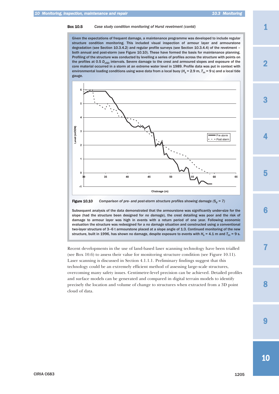Given the expectations of frequent damage, a maintenance programme was developed to include regular structure condition monitoring. This included visual inspection of armour layer and armourstone degradation (see Section 10.3.4.2) and regular profile surveys (see Section 10.3.4.4) of the revetment – both annual and post-storm (see Figure 10.10). These have formed the basis for maintenance planning. Profiling of the structure was conducted by levelling a series of profiles across the structure with points on the profiles at 0.5 *D<sub>n50</sub>* intervals. Severe damage to the crest and armoured slopes and exposure of the core material occurred in a storm at an extreme water level in 1989. Profile data was put in context with environmental loading conditions using wave data from a local buoy ( $H_s$  = 2.9 m,  $T_m$  = 9 s) and a local tide gauge.





Subsequent analysis of the data demonstrated that the armourstone was significantly under-size for the slope (had the structure been designed for *no damage*), the crest detailing was poor and the risk of damage to armour layer was high in events with a return period of one year. Following economic evaluation the structure was redesigned for a *no damage* situation and constructed using a conventional two-layer structure of 3–6 t armourstone placed at a slope angle of 1:3. Continued monitoring of the new structure, built in 1996, has shown no damage, despite exposure to events with  $H_s = 4.1$  m and  $T_m = 9$  s.

Recent developments in the use of land-based laser scanning technology have been trialled (see Box 10.6) to assess their value for monitoring structure condition (see Figure 10.11). Laser scanning is discussed in Section 4.1.1.1. Preliminary findings suggest that this technology could be an extremely efficient method of assessing large-scale structures, overcoming many safety issues. Centimetre-level precision can be achieved. Detailed profiles and surface models can be generated and compared in digital terrain models to identify precisely the location and volume of change to structures when extracted from a 3D point cloud of data.

4

<sup>1</sup>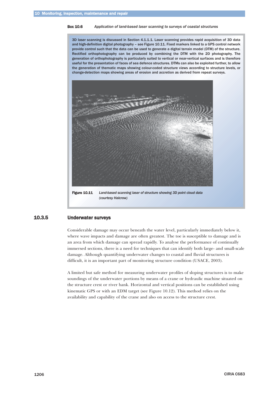#### <span id="page-29-0"></span>Box 10.6 *Application of land-based laser scanning to surveys of coastal structures*

3D laser scanning is discussed in Section 4.1.1.1. Laser scanning provides rapid acquisition of 3D data and high-definition digital photography – see Figure 10.11. Fixed markers linked to a GPS control network provide control such that the data can be used to generate a digital terrain model (DTM) of the structure. Rectified orthophotography can be produced by combining the DTM with the 2D photography. The generation of orthophotography is particularly suited to vertical or near-vertical surfaces and is therefore useful for the presentation of faces of sea defence structures. DTMs can also be exploited further, to allow the generation of thematic maps showing colour-coded structure views according to structure levels, or change-detection maps showing areas of erosion and accretion as derived from repeat surveys.



Figure 10.11 *Land-based scanning laser of structure showing 3D point cloud data (courtesy Halcrow)*

# 10.3.5 Underwater surveys

Considerable damage may occur beneath the water level, particularly immediately below it, where wave impacts and damage are often greatest. The toe is susceptible to damage and is an area from which damage can spread rapidly. To analyse the performance of continually immersed sections, there is a need for techniques that can identify both large- and small-scale damage. Although quantifying underwater changes to coastal and fluvial structures is difficult, it is an important part of monitoring structure condition (USACE, 2003).

A limited but safe method for measuring underwater profiles of sloping structures is to make soundings of the underwater portions by means of a crane or hydraulic machine situated on the structure crest or river bank. Horizontal and vertical positions can be established using kinematic GPS or with an EDM target (see Figure 10.12). This method relies on the availability and capability of the crane and also on access to the structure crest.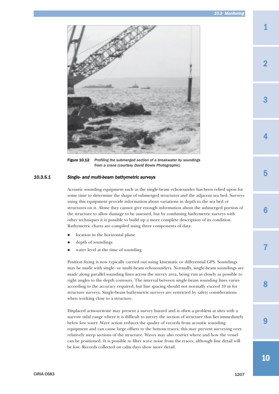<span id="page-30-0"></span>

Figure 10.12 *Profiling the submerged section of a breakwater by soundings from a crane (courtesy David Bowie Photographic)*

# *10.3.5.1 Single- and multi-beam bathymetric surveys*

Acoustic sounding equipment such as the single-beam echosounder has been relied upon for some time to determine the shape of submerged structures and the adjacent sea bed. Surveys using this equipment provide information about variations in depth to the sea bed or structures on it. Alone they cannot give enough information about the submerged portion of the structure to allow damage to be assessed, but by combining bathymetric surveys with other techniques it is possible to build up a more complete description of its condition. Bathymetric charts are compiled using three components of data:

- $\bullet$ location in the horizontal plane
- $\bullet$ depth of soundings
- $\bullet$ water level at the time of sounding.

Position fixing is now typically carried out using kinematic or differential GPS. Soundings may be made with single- or multi-beam echosounders. Normally, single-beam soundings are made along parallel sounding lines across the survey area, being run as closely as possible to right angles to the depth contours. The interval between single-beam sounding lines varies according to the accuracy required, but line spacing should not normally exceed 10 m for structure surveys. Single-beam bathymetric surveys are restricted by safety considerations when working close to a structure.

Displaced armourstone may present a survey hazard and is often a problem at sites with a narrow tidal range where it is difficult to survey the section of structure that lies immediately below low water. Wave action reduces the quality of records from acoustic sounding equipment and can cause large offsets to the bottom traces; this may prevent surveying over relatively steep sections of the structure. Waves may also restrict where and how the vessel can be positioned. It is possible to filter wave noise from the traces, although line detail will be lost. Records collected on calm days show more detail.

2

1

3

7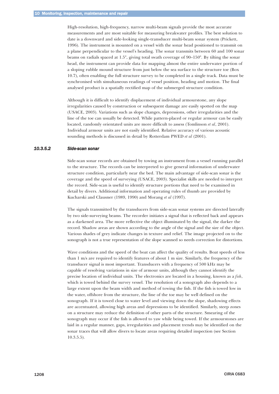<span id="page-31-0"></span>High-resolution, high-frequency, narrow multi-beam signals provide the most accurate measurements and are most suitable for measuring breakwater profiles. The best solution to date is a downward and side-looking single-transducer multi-beam sonar system (Prickett, 1996). The instrument is mounted on a vessel with the sonar head positioned to transmit on a plane perpendicular to the vessel's heading. The sonar transmits between 60 and 100 sonar beams on radials spaced at 1.5°, giving total swath coverage of 90–150°. By tilting the sonar head, the instrument can provide data for mapping almost the entire underwater portion of a sloping rubble mound structure from just below the sea surface to the structure toe (Box 10.7), often enabling the full structure survey to be completed in a single track. Data must be synchronised with simultaneous readings of vessel position, heading and motion. The final analysed product is a spatially rectified map of the submerged structure condition.

Although it is difficult to identify displacement of individual armourstone, any slope irregularities caused by construction or subsequent damage are easily spotted on the map (USACE, 2003). Variations such as slope changes, depressions, other irregularities and the line of the toe can usually be detected. While pattern-placed or regular armour can be easily located, randomly orientated units are more difficult to assess (Tomlinson *et al*, 2001). Individual armour units are not easily identified. Relative accuracy of various acoustic sounding methods is discussed in detail by Rotterdam PWED *et al* (2001).

#### *10.3.5.2 Side-scan sonar*

Side-scan sonar records are obtained by towing an instrument from a vessel running parallel to the structure. The records can be interpreted to give general information of underwater structure condition, particularly near the bed. The main advantage of side-scan sonar is the coverage and the speed of surveying (USACE, 2003). Specialist skills are needed to interpret the record. Side-scan is useful to identify structure portions that need to be examined in detail by divers. Additional information and operating rules of thumb are provided by Kucharski and Clausner (1989, 1990) and Morang *et al* (1997).

The signals transmitted by the transducers from side-scan sonar systems are directed laterally by two side-surveying beams. The recorder initiates a signal that is reflected back and appears as a darkened area. The more reflective the object illuminated by the signal, the darker the record. Shadow areas are shown according to the angle of the signal and the size of the object. Various shades of grey indicate changes in texture and relief. The image projected on to the sonograph is not a true representation of the slope scanned so needs correction for distortions.

Wave conditions and the speed of the boat can affect the quality of results. Boat speeds of less than 1 m/s are required to identify features of about 1 m size. Similarly, the frequency of the transducer signal is most important. Transducers with a frequency of 500 kHz may be capable of resolving variations in size of armour units, although they cannot identify the precise location of individual units. The electronics are located in a housing, known as a *fish*, which is towed behind the survey vessel. The resolution of a sonograph also depends to a large extent upon the beam width and method of towing the fish. If the fish is towed low in the water, offshore from the structure, the line of the toe may be well defined on the sonograph. If it is towed close to water level and viewing down the slope, shadowing effects are accentuated, allowing high areas and depressions to be identified. Similarly, steep zones on a structure may reduce the definition of other parts of the structure. Smearing of the sonograph may occur if the fish is allowed to yaw while being towed. If the armourstones are laid in a regular manner, gaps, irregularities and placement trends may be identified on the sonar traces that will allow divers to locate areas requiring detailed inspection (see Section 10.3.5.5).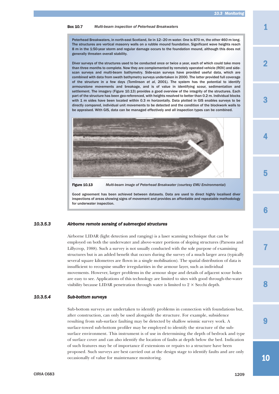<span id="page-32-0"></span>Box 10.7 *Multi-beam inspection of Peterhead Breakwaters*

Peterhead Breakwaters, in north-east Scotland, lie in 12–20 m water. One is 870 m, the other 460 m long. The structures are vertical masonry walls on a rubble mound foundation. Significant wave heights reach 8 m in the 1:50-year storm and regular damage occurs to the foundation mound, although this does not generally threaten overall stability.

Diver surveys of the structures used to be conducted once or twice a year, each of which could take more than three months to complete. Now they are complemented by remotely operated vehicle (ROV) and sidescan surveys and multi-beam bathymetry. Side-scan surveys have provided useful data, which are combined with data from swath bathymetry surveys undertaken in 2000. The latter provided full coverage of the structure in a few days (Tomlinson *et al*, 2001). The system has the potential to identify armourstone movements and breakage, and is of value in identifying scour, sedimentation and settlement. The imagery (Figure 10.13) provides a good overview of the integrity of the structures. Each part of the structure has been geo-referenced, with heights resolved to better than 0.2 m. Individual blocks with 1 m sides have been located within 0.3 m horizontally. Data plotted in GIS enables surveys to be directly compared, individual unit movements to be detected and the condition of the blockwork walls to be appraised. With GIS, data can be managed effectively and all inspection types can be combined.



Figure 10.13 *Multi-beam image of Peterhead Breakwater (courtesy EMU Environmental)*

Good agreement has been achieved between datasets. Data are used to direct highly localised diver inspections of areas showing signs of movement and provides an affordable and repeatable methodology for underwater inspection.

#### *10.3.5.3 Airborne remote sensing of submerged structures*

Airborne LIDAR (light detection and ranging) is a laser scanning technique that can be employed on both the underwater and above-water portions of sloping structures (Parsons and Lillycrop, 1988). Such a survey is not usually conducted with the sole purpose of examining structures but is an added benefit that occurs during the survey of a much larger area (typically several square kilometres are flown in a single mobilisation). The spatial distribution of data is insufficient to recognise smaller irregularities in the armour layer, such as individual movements. However, larger problems in the armour slope and details of adjacent scour holes are easy to see. Applications of this technology are limited to sites with good through-the-water visibility because LIDAR penetration through water is limited to  $2 \times$  Secchi depth.

#### *10.3.5.4 Sub-bottom surveys*

Sub-bottom surveys are undertaken to identify problems in connection with foundations but, after construction, can only be used alongside the structure. For example, subsidence resulting from sub-surface faulting may be detected by shallow seismic survey work. A surface-towed sub-bottom profiler may be employed to identify the structure of the subsurface environment. This instrument is of use in determining the depth of bedrock and type of surface cover and can also identify the location of faults at depth below the bed. Indication of such features may be of importance if extensions or repairs to a structure have been proposed. Such surveys are best carried out at the design stage to identify faults and are only occasionally of value for maintenance monitoring.

1

2

4

3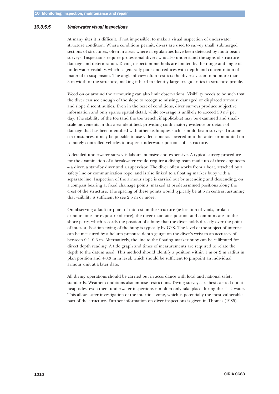#### <span id="page-33-0"></span>*10.3.5.5 Underwater visual inspections*

At many sites it is difficult, if not impossible, to make a visual inspection of underwater structure condition. Where conditions permit, divers are used to survey small, submerged sections of structures, often in areas where irregularities have been detected by multi-beam surveys. Inspections require professional divers who also understand the signs of structure damage and deterioration. Diving inspection methods are limited by the range and angle of underwater visibility, which is generally poor and reduces with depth and concentration of material in suspension. The angle of view often restricts the diver's vision to no more than 3 m width of the structure, making it hard to identify large irregularities in structure profile.

Weed on or around the armouring can also limit observations. Visibility needs to be such that the diver can see enough of the slope to recognise missing, damaged or displaced armour and slope discontinuities. Even in the best of conditions, diver surveys produce subjective information and only sparse spatial detail, while coverage is unlikely to exceed 50  $m<sup>2</sup>$  per day. The stability of the toe (and the toe trench, if applicable) may be examined and smallscale movements in this area identified, providing confirmatory evidence or details of damage that has been identified with other techniques such as multi-beam surveys. In some circumstances, it may be possible to use video cameras lowered into the water or mounted on remotely controlled vehicles to inspect underwater portions of a structure.

A detailed underwater survey is labour-intensive and expensive. A typical survey procedure for the examination of a breakwater would require a diving team made up of three engineers – a diver, a standby diver and a supervisor. The diver often works from a boat, attached by a safety line or communication rope, and is also linked to a floating marker buoy with a separate line. Inspection of the armour slope is carried out by ascending and descending, on a compass bearing at fixed chainage points, marked at predetermined positions along the crest of the structure. The spacing of these points would typically be at 5 m centres, assuming that visibility is sufficient to see 2.5 m or more.

On observing a fault or point of interest on the structure (ie location of voids, broken armourstones or exposure of core), the diver maintains position and communicates to the shore party, which records the position of a buoy that the diver holds directly over the point of interest. Position-fixing of the buoy is typically by GPS. The level of the subject of interest can be measured by a helium pressure-depth gauge on the diver's wrist to an accuracy of between 0.1–0.3 m. Alternatively, the line to the floating marker buoy can be calibrated for direct depth reading. A tide graph and times of measurements are required to relate the depth to the datum used. This method should identify a position within 1 m or 2 m radius in plan position and +0.3 m in level, which should be sufficient to pinpoint an individual armour unit at a later date.

All diving operations should be carried out in accordance with local and national safety standards. Weather conditions also impose restrictions. Diving surveys are best carried out at neap tides; even then, underwater inspections can often only take place during the slack water. This allows safer investigation of the intertidal zone, which is potentially the most vulnerable part of the structure. Further information on diver inspections is given in Thomas (1985).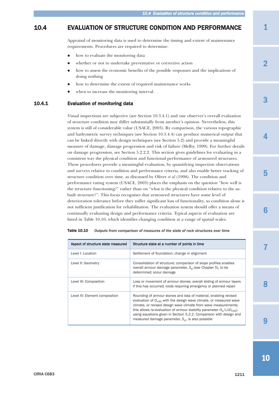# <span id="page-34-0"></span>10.4 EVALUATION OF STRUCTURE CONDITION AND PERFORMANCE

Appraisal of monitoring data is used to determine the timing and extent of maintenance requirements. Procedures are required to determine:

- $\bullet$ how to evaluate the monitoring data
- $\bullet$ whether or not to undertake preventative or corrective action
- $\bullet$  how to assess the economic benefits of the possible responses and the implications of doing nothing
- $\bullet$ how to determine the extent of required maintenance works
- $\bullet$ when to increase the monitoring interval.

#### 10.4.1 Evaluation of monitoring data

Visual inspections are subjective (see Section 10.3.4.1) and one observer's overall evaluation of structure condition may differ substantially from another's opinion. Nevertheless, this system is still of considerable value (USACE, 2003). By comparison, the various topographic and bathymetric survey techniques (see Section 10.3.4.4) can produce numerical output that can be linked directly with design techniques (see Section 5.2) and provide a meaningful measure of damage, damage progression and risk of failure (Melby, 1999). For further details on damage progression, see Section 5.2.2.2. This section gives guidelines for evaluating in a consistent way the physical condition and functional performance of armoured structures. These procedures provide a meaningful evaluation, by quantifying inspection observations and surveys relative to condition and performance criteria, and also enable better tracking of structure condition over time, as discussed by Oliver *et al* (1998). The condition and performance rating system (USACE, 2003) places the emphasis on the question "how well is the structure functioning?" rather than on "what is the physical condition relative to the asbuilt structure?". This focus recognises that armoured structures have some level of deterioration tolerance before they suffer significant loss of functionality, so condition alone is not sufficient justification for rehabilitation. The evaluation system should offer a means of continually evaluating design and performance criteria. Typical aspects of evaluation are listed in Table 10.10, which identifies changing condition at a range of spatial scales.

| Aspect of structure state measured | Structure state at a number of points in time                                                                                                                                                                                                                                                                                                                                                                                |
|------------------------------------|------------------------------------------------------------------------------------------------------------------------------------------------------------------------------------------------------------------------------------------------------------------------------------------------------------------------------------------------------------------------------------------------------------------------------|
| Level I: Location                  | Settlement of foundation; change in alignment                                                                                                                                                                                                                                                                                                                                                                                |
| Level II: Geometry                 | Consolidation of structure; comparison of slope profiles enables<br>overall armour damage parameter, $S_d$ (see Chapter 5), to be<br>determined; scour damage                                                                                                                                                                                                                                                                |
| Level III: Composition             | Loss or movement of armour stones; overall sliding of armour layers<br>if this has occurred; voids requiring emergency or planned repair                                                                                                                                                                                                                                                                                     |
| Level IV: Element composition      | Rounding of armour stones and loss of material, enabling revised<br>evaluation of $D_{n50}$ with the design wave climate, or measured wave<br>climate, or revised design wave climate from wave measurements;<br>this allows re-evaluation of armour stability parameter $H_s/(\Delta D_{n=0})$<br>using equations given in Section 5.2.2. Comparison with design and<br>measured damage parameter, $S_d$ , is also possible |

| Table 10.10 | Outputs from comparison of measures of the state of rock structures over time |  |
|-------------|-------------------------------------------------------------------------------|--|
|-------------|-------------------------------------------------------------------------------|--|

1

2

4

3

7

 $\mathbf Q$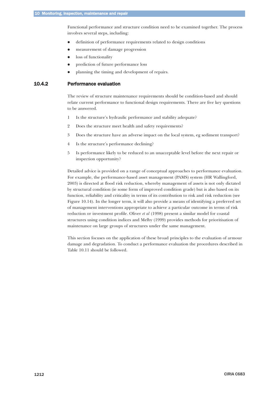<span id="page-35-0"></span>Functional performance and structure condition need to be examined together. The process involves several steps, including:

- $\bullet$ definition of performance requirements related to design conditions
- $\bullet$ measurement of damage progression
- $\bullet$ loss of functionality
- $\bullet$ prediction of future performance loss
- $\bullet$ planning the timing and development of repairs.

#### 10.4.2 Performance evaluation

The review of structure maintenance requirements should be condition-based and should relate current performance to functional design requirements. There are five key questions to be answered.

- 1 Is the structure's hydraulic performance and stability adequate?
- 2 Does the structure meet health and safety requirements?
- 3 Does the structure have an adverse impact on the local system, eg sediment transport?
- 4 Is the structure's performance declining?
- 5 Is performance likely to be reduced to an unacceptable level before the next repair or inspection opportunity?

Detailed advice is provided on a range of conceptual approaches to performance evaluation. For example, the performance-based asset management (PAMS) system (HR Wallingford, 2003) is directed at flood risk reduction, whereby management of assets is not only dictated by structural condition (ie some form of improved condition grade) but is also based on its function, reliability and criticality in terms of its contribution to risk and risk reduction (see Figure 10.14). In the longer term, it will also provide a means of identifying a preferred set of management interventions appropriate to achieve a particular outcome in terms of risk reduction or investment profile. Oliver *et al* (1998) present a similar model for coastal structures using condition indices and Melby (1999) provides methods for prioritisation of maintenance on large groups of structures under the same management.

This section focuses on the application of these broad principles to the evaluation of armour damage and degradation. To conduct a performance evaluation the procedures described in Table 10.11 should be followed.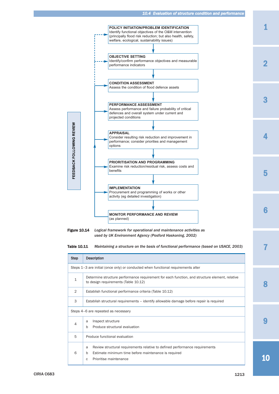

6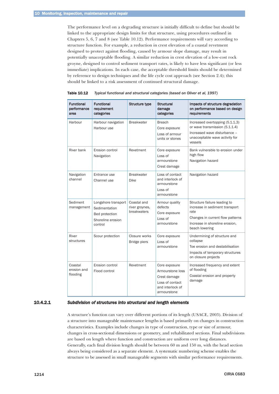<span id="page-37-0"></span>The performance level on a degrading structure is initially difficult to define but should be linked to the appropriate design limits for that structure, using procedures outlined in Chapters 5, 6, 7 and 8 (see Table 10.12). Performance requirements will vary according to structure function. For example, a reduction in crest elevation of a coastal revetment designed to protect against flooding, caused by armour slope damage, may result in potentially unacceptable flooding. A similar reduction in crest elevation of a low-cost rock groyne, designed to control sediment transport rates, is likely to have less significant (or less immediate) implications. In each case, the acceptable threshold limits should be determined by reference to design techniques and the life cycle cost approach (see Section 2.4); this should be linked to a risk assessment of continued structural damage.

| <b>Functional</b><br>performance<br>area | <b>Functional</b><br>requirement<br>categories                                         | Structure type                               | <b>Structural</b><br>damage<br>categories                                                               | Impacts of structure degradation<br>on performance based on design<br>requirements                                                                             |
|------------------------------------------|----------------------------------------------------------------------------------------|----------------------------------------------|---------------------------------------------------------------------------------------------------------|----------------------------------------------------------------------------------------------------------------------------------------------------------------|
| Harbour                                  | Harbour navigation<br>Harbour use                                                      | <b>Breakwater</b>                            | <b>Breach</b><br>Core exposure<br>Loss of armour<br>units or stones                                     | Increased overtopping (5.1.1.3)<br>or wave transmission (5.1.1.4)<br>Increased wave disturbance -<br>unacceptable wave activity for<br>vessels                 |
| River bank                               | Erosion control<br>Navigation                                                          | Revetment                                    | Core exposure<br>Loss of<br>armourstone<br>Crest damage                                                 | Bank vulnerable to erosion under<br>high flow<br>Navigation hazard                                                                                             |
| Navigation<br>channel                    | Entrance use<br>Channel use                                                            | <b>Breakwater</b><br><b>Dike</b>             | Loss of contact<br>and interlock of<br>armourstone<br>Loss of<br>armourstone                            | Navigation hazard                                                                                                                                              |
| Sediment<br>management                   | Longshore transport<br>Sedimentation<br>Bed protection<br>Shoreline erosion<br>control | Coastal and<br>river groynes,<br>breakwaters | Armour quality<br>defects<br>Core exposure<br>Loss of<br>armourstone                                    | Structure failure leading to<br>increase in sediment transport<br>rate<br>Changes in current flow patterns<br>Increase in shoreline erosion,<br>beach lowering |
| River<br>structures                      | Scour protection                                                                       | Closure works<br>Bridge piers                | Core exposure<br>Loss of<br>armourstone                                                                 | Undermining of structure and<br>collapse<br>Toe erosion and destabilisation<br>Impacts of temporary structures<br>on closure projects                          |
| Coastal<br>erosion and<br>flooding       | Erosion control<br>Flood control                                                       | Revetment                                    | Core exposure<br>Armourstone loss<br>Crest damage<br>Loss of contact<br>and interlock of<br>armourstone | Increased frequency and extent<br>of flooding<br>Coastal erosion and property<br>damage                                                                        |

Table 10.12 *Typical functional and structural categories (based on Oliver et al, 1997)*

# 10.4.2.1 *Subdivision of structures into structural and length elements*

A structure's function can vary over different portions of its length (USACE, 2003). Division of a structure into manageable maintenance lengths is based primarily on changes in construction characteristics. Examples include changes in type of construction, type or size of armour, changes in cross-sectional dimensions or geometry, and rehabilitated sections. Final subdivisions are based on length where function and construction are uniform over long distances. Generally, each final division length should be between 60 m and 150 m, with the head section always being considered as a separate element. A systematic numbering scheme enables the structure to be assessed in small manageable segments with similar performance requirements.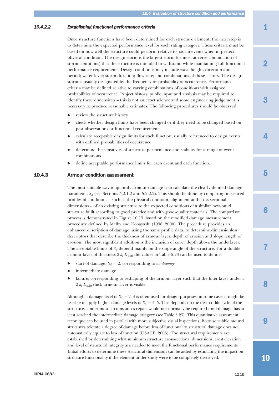#### <span id="page-38-0"></span>*10.4.2.2 Establishing functional performance criteria*

Once structure functions have been determined for each structure element, the next step is to determine the expected performance level for each rating category. These criteria must be based on how well the structure could perform relative to storm events when in perfect physical condition. The design storm is the largest storm (or most adverse combination of storm conditions) that the structure is intended to withstand while maintaining full functional performance requirements. Design conditions may include wave height, direction and period; water level; storm duration; flow rate; and combinations of these factors. The design storm is usually designated by the frequency or probability of occurrence. Performance criteria may be defined relative to varying combinations of conditions with assigned probabilities of occurrence. Project history, public input and analysis may be required to identify these dimensions – this is not an exact science and some engineering judgement is necessary to produce reasonable estimates. The following procedures should be observed:

- $\bullet$ review the structure history
- $\bullet$  check whether design limits have been changed or if they need to be changed based on past observations or functional requirements
- $\bullet$  calculate acceptable design limits for each function, usually referenced to design events with defined probabilities of occurrence
- $\bullet$  determine the sensitivity of structure performance and stability for a range of event combinations
- $\bullet$ define acceptable performance limits for each event and each function.

# 10.4.3 Armour condition assessment

The most suitable way to quantify armour damage is to calculate the clearly defined damage parameter,  $S_d$  (see Sections 5.2.1.2 and 5.2.2.2). This should be done by comparing measured profiles of conditions – such as the physical condition, alignment and cross-sectional dimensions – of an existing structure to the expected conditions of a similar new-build structure built according to good practice and with good-quality materials. The comparison process is demonstrated in Figure 10.15, based on the modified damage measurement procedure defined by Melby and Kobayashi (1998, 2000). The procedure provides an enhanced description of damage, using the same profile data, to determine dimensionless descriptors that describe the thickness of armour layer, depth of erosion and slope length of erosion. The most significant addition is the inclusion of cover depth above the underlayer. The acceptable limits of  $S_d$  depend mainly on the slope angle of the structure. For a double armour layer of thickness  $2 k_t D_{n50}$  the values in Table 5.23 can be used to define:

- $\bullet$ start of damage;  $S_d = 2$ , corresponding to *no damage*
- $\bullet$ intermediate damage
- $\bullet$  failure, corresponding to reshaping of the armour layer such that the filter layer under a 2  $k_t D_{n50}$  thick armour layer is visible.

Although a damage level of  $S_d = 2-3$  is often used for design purposes, in some cases it might be feasible to apply higher damage levels of  $S_d = 4-5$ . This depends on the desired life cycle of the structure. Under most circumstances repair would not normally be required until damage has at least reached the intermediate damage category (see Table 5.23). This quantitative assessment technique can be used in parallel with more subjective visual inspections. Because rubble mound structures tolerate a degree of damage before loss of functionality, structural damage does not automatically equate to loss of function (USACE, 2003). The structural requirements are established by determining what minimum structure cross-sectional dimensions, crest elevation and level of structural integrity are needed to meet the functional performance requirements. Initial efforts to determine these structural dimensions can be aided by estimating the impact on structure functionality if the element under study were to be completely destroyed.

2

4

7

8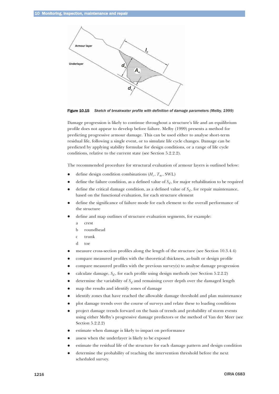

Figure 10.15 *Sketch of breakwater profile with definition of damage parameters (Melby, 1999)*

Damage progression is likely to continue throughout a structure's life and an equilibrium profile does not appear to develop before failure. Melby (1999) presents a method for predicting progressive armour damage. This can be used either to analyse short-term residual life, following a single event, or to simulate life cycle changes. Damage can be predicted by applying stability formulae for design conditions, or a range of life cycle conditions, relative to the current state (see Section 5.2.2.2).

The recommended procedure for structural evaluation of armour layers is outlined below:

- $\bullet$ define design condition combinations  $(H_s, T_m, SWL)$
- $\bullet$ define the failure condition, as a defined value of  $S_d$ , for major rehabilitation to be required
- $\bullet$ define the critical damage condition, as a defined value of  $S_d$ , for repair maintenance, based on the functional evaluation, for each structure element
- $\bullet$  define the significance of failure mode for each element to the overall performance of the structure
- $\bullet$  define and map outlines of structure evaluation segments, for example:
	- a crest
	- b roundhead
	- c trunk
	- d toe
- $\bullet$ measure cross-section profiles along the length of the structure (see Section 10.3.4.4)
- $\bullet$ compare measured profiles with the theoretical thickness, as-built or design profile
- $\bullet$ compare measured profiles with the previous survey(s) to analyse damage progression
- $\bullet$ calculate damage,  $S_d$ , for each profile using design methods (see Section 5.2.2.2)
- $\bullet$ determine the variability of  $S_d$  and remaining cover depth over the damaged length
- $\bullet$ map the results and identify zones of damage
- $\bullet$ identify zones that have reached the allowable damage threshold and plan maintenance
- $\bullet$ plot damage trends over the course of surveys and relate these to loading conditions
- $\bullet$  project damage trends forward on the basis of trends and probability of storm events using either Melby's progressive damage predictors or the method of Van der Meer (see Section 5.2.2.2)
- $\bullet$ estimate when damage is likely to impact on performance
- $\bullet$ assess when the underlayer is likely to be exposed
- $\bullet$ estimate the residual life of the structure for each damage pattern and design condition
- $\bullet$  determine the probability of reaching the intervention threshold before the next scheduled survey.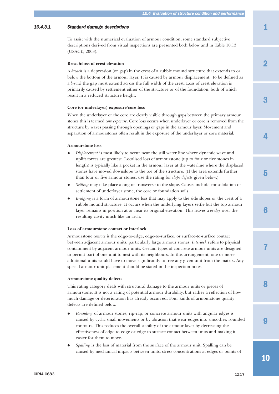#### <span id="page-40-0"></span>*10.4.3.1 Standard damage descriptions*

To assist with the numerical evaluation of armour condition, some standard subjective descriptions derived from visual inspections are presented both below and in Table 10.13 (USACE, 2003).

#### **Breach/loss of crest elevation**

A *breach* is a depression (or gap) in the crest of a rubble mound structure that extends to or below the bottom of the armour layer. It is caused by armour displacement. To be defined as a *breach* the gap must extend across the full width of the crest. Loss of crest elevation is primarily caused by settlement either of the structure or of the foundation, both of which result in a reduced structure height.

#### **Core (or underlayer) exposure/core loss**

When the underlayer or the core are clearly visible through gaps between the primary armour stones this is termed *core exposure*. Core loss occurs when underlayer or core is removed from the structure by waves passing through openings or gaps in the armour layer. Movement and separation of armourstones often result in the exposure of the underlayer or core material.

#### **Armourstone loss**

- $\bullet$  *Displacement* is most likely to occur near the still water line where dynamic wave and uplift forces are greatest. Localised loss of armourstone (up to four or five stones in length) is typically like a pocket in the armour layer at the waterline where the displaced stones have moved downslope to the toe of the structure. (If the area extends further than four or five armour stones, use the rating for *slope defects* given below.)
- $\bullet$  *Settling* may take place along or transverse to the slope. Causes include consolidation or settlement of underlayer stone, the core or foundation soils.
- $\bullet$ *Bridging* is a form of armourstone loss that may apply to the side slopes or the crest of a rubble mound structure. It occurs when the underlying layers settle but the top armour layer remains in position at or near its original elevation. This leaves a *bridge* over the resulting cavity much like an arch.

#### **Loss of armourstone contact or interlock**

Armourstone *contact* is the edge-to-edge, edge-to-surface, or surface-to-surface contact between adjacent armour units, particularly large armour stones. *Interlock* refers to physical containment by adjacent armour units. Certain types of concrete armour units are designed to permit part of one unit to nest with its neighbours. In this arrangement, one or more additional units would have to move significantly to free any given unit from the matrix. Any special armour unit placement should be stated in the inspection notes.

#### **Armourstone quality defects**

This rating category deals with structural damage to the armour units or pieces of armourstone. It is not a rating of potential armour durability, but rather a reflection of how much damage or deterioration has already occurred. Four kinds of armourstone quality defects are defined below.

- $\bullet$  *Rounding* of armour stones, rip-rap, or concrete armour units with angular edges is caused by cyclic small movements or by abrasion that wear edges into smoother, rounded contours. This reduces the overall stability of the armour layer by decreasing the effectiveness of edge-to-edge or edge-to-surface contact between units and making it easier for them to move.
- $\bullet$  *Spalling* is the loss of material from the surface of the armour unit. Spalling can be caused by mechanical impacts between units, stress concentrations at edges or points of

3

4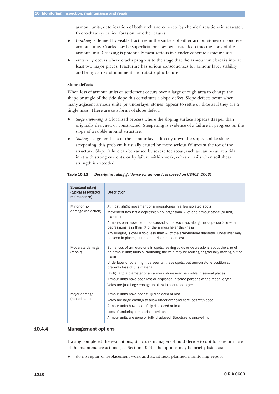armour units, deterioration of both rock and concrete by chemical reactions in seawater, freeze-thaw cycles, ice abrasion, or other causes.

- <span id="page-41-0"></span> $\bullet$  *Cracking* is defined by visible fractures in the surface of either armourstones or concrete armour units. Cracks may be superficial or may penetrate deep into the body of the armour unit. Cracking is potentially most serious in slender concrete armour units.
- $\bullet$  *Fracturing* occurs where cracks progress to the stage that the armour unit breaks into at least two major pieces. Fracturing has serious consequences for armour layer stability and brings a risk of imminent and catastrophic failure.

#### **Slope defects**

When loss of armour units or settlement occurs over a large enough area to change the shape or angle of the side slope this constitutes a slope defect. Slope defects occur when many adjacent armour units (or underlayer stones) appear to settle or slide as if they are a single mass. There are two forms of slope defect.

- $\bullet$ *Slope steepening* is a localised process where the sloping surface appears steeper than originally designed or constructed. Steepening is evidence of a failure in progress on the slope of a rubble mound structure.
- $\bullet$  *Sliding* is a general loss of the armour layer directly down the slope. Unlike slope steepening, this problem is usually caused by more serious failures at the toe of the structure. Slope failure can be caused by severe toe scour, such as can occur at a tidal inlet with strong currents, or by failure within weak, cohesive soils when soil shear strength is exceeded.

| Structural rating<br>(typical associated<br>maintenance) | <b>Description</b>                                                                                                                                                                                                                                                                                                                                                                                                                                                                                                                |
|----------------------------------------------------------|-----------------------------------------------------------------------------------------------------------------------------------------------------------------------------------------------------------------------------------------------------------------------------------------------------------------------------------------------------------------------------------------------------------------------------------------------------------------------------------------------------------------------------------|
| Minor or no<br>damage (no action)                        | At most, slight movement of armourstones in a few isolated spots<br>Movement has left a depression no larger than $\frac{1}{4}$ of one armour stone (or unit)<br>diameter<br>Armourstone movement has caused some waviness along the slope surface with<br>depressions less than 3/4 of the armour layer thickness<br>Any bridging is over a void less than $\frac{1}{2}$ of the armourstone diameter. Underlayer may<br>be seen in places, but no material has been lost                                                         |
| Moderate damage<br>(repair)                              | Some loss of armourstone in spots, leaving voids or depressions about the size of<br>an armour unit; units surrounding the void may be rocking or gradually moving out of<br>place<br>Underlayer or core might be seen at these spots, but armourstone position still<br>prevents loss of this material<br>Bridging to a diameter of an armour stone may be visible in several places<br>Armour units have been lost or displaced in some portions of the reach length<br>Voids are just large enough to allow loss of underlayer |
| Major damage<br>(rehabilitation)                         | Armour units have been fully displaced or lost<br>Voids are large enough to allow underlayer and core loss with ease<br>Armour units have been fully displaced or lost<br>Loss of underlayer material is evident<br>Armour units are gone or fully displaced. Structure is unravelling                                                                                                                                                                                                                                            |

Table 10.13 *Descriptive rating guidance for armour loss (based on USACE, 2003)*

#### 10.4.4 Management options

Having completed the evaluations, structure managers should decide to opt for one or more of the maintenance actions (see Section 10.5). The options may be briefly listed as:

 $\bullet$ do no repair or replacement work and await next planned monitoring report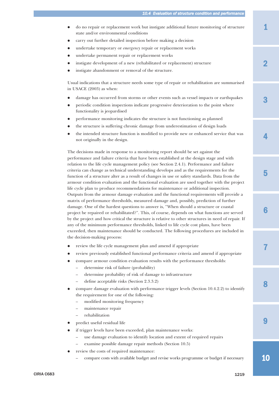1

2

3

4

5

- $\bullet$  do no repair or replacement work but instigate additional future monitoring of structure state and/or environmental conditions
- $\bullet$ carry out further detailed inspection before making a decision
- $\bullet$ undertake temporary or *emergency* repair or replacement works
- $\bullet$ undertake permanent repair or replacement works
- $\bullet$ instigate development of a new (rehabilitated or replacement) structure
- $\bullet$ instigate abandonment or removal of the structure.

Usual indications that a structure needs some type of repair or rehabilitation are summarised in USACE (2003) as when:

- $\bullet$ damage has occurred from storms or other events such as vessel impacts or earthquakes
- $\bullet$  periodic condition inspections indicate progressive deterioration to the point where functionality is jeopardised
- $\bullet$ performance monitoring indicates the structure is not functioning as planned
- $\bullet$ the structure is suffering chronic damage from underestimation of design loads
- $\bullet$  the intended structure function is modified to provide new or enhanced service that was not originally in the design.

The decisions made in response to a monitoring report should be set against the performance and failure criteria that have been established at the design stage and with relation to the life cycle management policy (see Section 2.4.1). Performance and failure criteria can change as technical understanding develops and as the requirements for the function of a structure alter as a result of changes in use or safety standards. Data from the armour condition evaluation and the functional evaluation are used together with the project life cycle plan to produce recommendations for maintenance or additional inspection. Outputs from the armour damage evaluation and the functional requirements will provide a matrix of performance thresholds, measured damage and, possibly, prediction of further damage. One of the hardest questions to answer is, "When should a structure or coastal project be repaired or rehabilitated?". This, of course, depends on what functions are served by the project and how critical the structure is relative to other structures in need of repair. If any of the minimum performance thresholds, linked to life cycle cost plans, have been exceeded, then maintenance should be conducted. The following procedures are included in the decision-making process:

- $\bullet$ review the life cycle management plan and amend if appropriate
- $\bullet$ review previously established functional performance criteria and amend if appropriate
- $\bullet$  compare armour condition evaluation results with the performance thresholds:
	- determine risk of failure (probability)
	- determine probability of risk of damage to infrastructure
	- define acceptable risks (Section 2.3.3.2)
- $\bullet$  compare damage evaluation with performance trigger levels (Section 10.4.2.2) to identify the requirement for one of the following:
	- modified monitoring frequency
	- maintenance repair
	- rehabilitation
- $\bullet$ predict useful residual life
- $\bullet$  if trigger levels have been exceeded, plan maintenance works:
	- use damage evaluation to identify location and extent of required repairs
	- examine possible damage repair methods (Section 10.5)
- $\bullet$  review the costs of required maintenance:
	- compare costs with available budget and revise works programme or budget if necessary

10

 $\mathbf Q$ 

8

7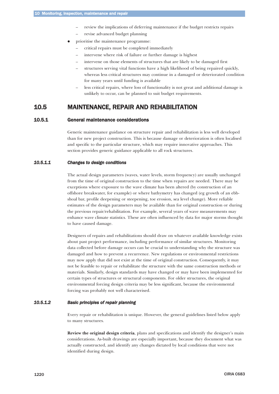- review the implications of deferring maintenance if the budget restricts repairs
- revise advanced budget planning
- <span id="page-43-0"></span> $\bullet$  prioritise the maintenance programme:
	- critical repairs must be completed immediately
	- intervene where risk of failure or further damage is highest
	- intervene on those elements of structures that are likely to be damaged first
	- structures serving vital functions have a high likelihood of being repaired quickly, whereas less critical structures may continue in a damaged or deteriorated condition for many years until funding is available
	- less critical repairs, where loss of functionality is not great and additional damage is unlikely to occur, can be planned to suit budget requirements.

# 10.5 MAINTENANCE, REPAIR AND REHABILITATION

#### 10.5.1 General maintenance considerations

Generic maintenance guidance on structure repair and rehabilitation is less well developed than for new project construction. This is because damage or deterioration is often localised and specific to the particular structure, which may require innovative approaches. This section provides generic guidance applicable to all rock structures.

# *10.5.1.1 Changes to design conditions*

The actual design parameters (waves, water levels, storm frequency) are usually unchanged from the time of original construction to the time when repairs are needed. There may be exceptions where exposure to the wave climate has been altered (by construction of an offshore breakwater, for example) or where bathymetry has changed (eg growth of an ebbshoal bar, profile deepening or steepening, toe erosion, sea level change). More reliable estimates of the design parameters may be available than for original construction or during the previous repair/rehabilitation. For example, several years of wave measurements may enhance wave climate statistics. These are often influenced by data for major storms thought to have caused damage.

Designers of repairs and rehabilitations should draw on whatever available knowledge exists about past project performance, including performance of similar structures. Monitoring data collected before damage occurs can be crucial to understanding why the structure was damaged and how to prevent a recurrence. New regulations or environmental restrictions may now apply that did not exist at the time of original construction. Consequently, it may not be feasible to repair or rehabilitate the structure with the same construction methods or materials. Similarly, design standards may have changed or may have been implemented for certain types of structures or structural components. For older structures, the original environmental forcing design criteria may be less significant, because the environmental forcing was probably not well characterised.

### *10.5.1.2 Basic principles of repair planning*

Every repair or rehabilitation is unique. However, the general guidelines listed below apply to many structures.

**Review the original design criteria**, plans and specifications and identify the designer's main considerations. As-built drawings are especially important, because they document what was actually constructed, and identify any changes dictated by local conditions that were not identified during design.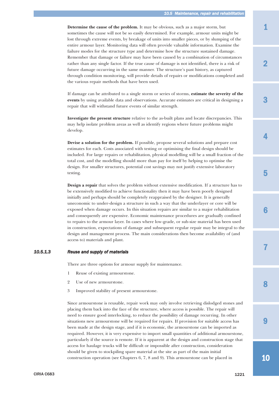<span id="page-44-0"></span>**Determine the cause of the problem.** It may be obvious, such as a major storm, but sometimes the cause will not be so easily determined. For example, armour units might be lost through extreme events, by breakage of units into smaller pieces, or by slumping of the entire armour layer. Monitoring data will often provide valuable information. Examine the failure modes for the structure type and determine how the structure sustained damage. Remember that damage or failure may have been caused by a combination of circumstances rather than any single factor. If the true cause of damage is not identified, there is a risk of future damage occurring in the same manner. The structure's past history, as captured through condition monitoring, will provide details of repairs or modifications completed and the various repair methods that have been used.

If damage can be attributed to a single storm or series of storms, **estimate the severity of the events** by using available data and observations. Accurate estimates are critical in designing a repair that will withstand future events of similar strength.

**Investigate the present structure** relative to the as-built plans and locate discrepancies. This may help isolate problem areas as well as identify regions where future problems might develop.

**Devise a solution for the problem.** If possible, propose several solutions and prepare cost estimates for each. Costs associated with testing or optimising the final design should be included. For large repairs or rehabilitation, physical modelling will be a small fraction of the total cost, and the modelling should more than pay for itself by helping to optimise the design. For smaller structures, potential cost savings may not justify extensive laboratory testing.

**Design a repair** that solves the problem without extensive modification. If a structure has to be extensively modified to achieve functionality then it may have been poorly designed initially and perhaps should be completely reappraised by the designer. It is generally uneconomic to under-design a structure in such a way that the underlayer or core will be exposed when damage occurs. In this situation repairs are similar to a major rehabilitation and consequently are expensive. Economic maintenance procedures are gradually confined to repairs to the armour layer. In cases where low-grade, or sub-size material has been used in construction, expectations of damage and subsequent regular repair may be integral to the design and management process. The main considerations then become availability of (and access to) materials and plant.

#### *10.5.1.3 Reuse and supply of materials*

There are three options for armour supply for maintenance.

- 1 Reuse of existing armourstone.
- 2 Use of new armourstone.
- 3 Improved stability of present armourstone.

Since armourstone is reusable, repair work may only involve retrieving dislodged stones and placing them back into the face of the structure, where access is possible. The repair will need to ensure good interlocking, to reduce the possibility of damage recurring. In other situations new armourstone will be required for repairs. If provision for suitable access has been made at the design stage, and if it is economic, the armourstone can be imported as required. However, it is very expensive to import small quantities of additional armourstone, particularly if the source is remote. If it is apparent at the design and construction stage that access for haulage trucks will be difficult or impossible after construction, consideration should be given to stockpiling spare material at the site as part of the main initial construction operation (see Chapters 6, 7, 8 and 9). This armourstone can be placed in

10

9

8

7

6

1

3

2

4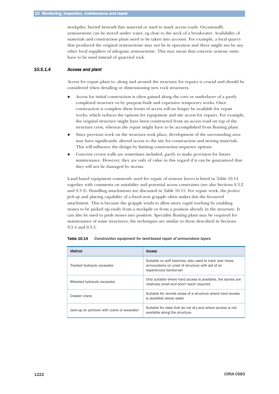<span id="page-45-0"></span>stockpiles, buried beneath fine material or used to mark access roads. Occasionally armourstone can be stored under water, eg close to the neck of a breakwater. Availability of materials and construction plant need to be taken into account. For example, a local quarry that produced the original armourstone may not be in operation and there might not be any other local suppliers of adequate armourstone. This may mean that concrete armour units have to be used instead of quarried rock.

# *10.5.1.4 Access and plant*

Access for repair plant to, along and around the structure for repairs is crucial and should be considered when detailing or dimensioning new rock structures.

- $\bullet$  Access for initial construction is often gained along the core or underlayer of a partly completed structure or by purpose-built and expensive temporary works. Once construction is complete these forms of access will no longer be available for repair works, which reduces the options for equipment and site access for repairs. For example, the original structure might have been constructed from an access road on top of the structure crest, whereas the repair might have to be accomplished from floating plant.
- $\bullet$  Since previous work on the structure took place, development of the surrounding area may have significantly altered access to the site for construction and storing materials. This will influence the design by limiting construction sequence options.
- $\bullet$  Concrete crown walls are sometimes included, partly to make provision for future maintenance. However, they are only of value in this regard if it can be guaranteed that they will not be damaged by storms.

Land-based equipment commonly used for repair of armour layers is listed in Table 10.14 together with comments on suitability and potential access constraints (see also Sections 9.3.2 and 9.3.3). Handling attachments are discussed in Table 10.15. For repair work, the *positive pick-up* and placing capability of a fixed-arm grapple often makes this the favoured attachment. This is because the grapple tends to allow more rapid working by enabling stones to be picked up easily from a stockpile or from a position already in the structure. It can also be used to push stones into position. Specialist floating plant may be required for maintenance of some structures; the techniques are similar to those described in Sections 9.3.4 and 9.3.5.

| Method                                     | <b>Access</b>                                                                                                                       |
|--------------------------------------------|-------------------------------------------------------------------------------------------------------------------------------------|
| Tracked hydraulic excavator                | Suitable on soft beaches; also used to track over heavy<br>armourstone on crest of structure with aid of an<br>experienced banksman |
| Wheeled hydraulic excavator                | Only suitable where hard access is available, the stones are<br>relatively small and short reach required                           |
| Crawler crane                              | Suitable for remote areas of a structure where hard access<br>is available above water                                              |
| Jack-up on pontoon with crane or excavator | Suitable for sites that do not dry and where access is not<br>available along the structure                                         |

Table 10.14 *Construction equipment for land-based repair of armourstone layers*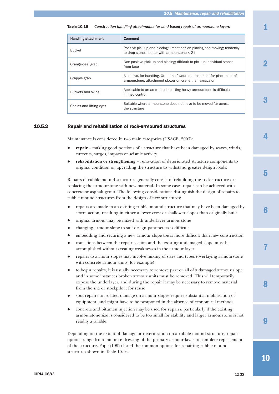| <b>Handling attachment</b> | Comment                                                                                                                          |
|----------------------------|----------------------------------------------------------------------------------------------------------------------------------|
| <b>Bucket</b>              | Positive pick-up and placing; limitations on placing and moving; tendency<br>to drop stones; better with armourstone $<$ 2 t     |
| Orange-peel grab           | Non-positive pick-up and placing; difficult to pick up individual stones<br>from face                                            |
| Grapple grab               | As above, for handling. Often the favoured attachment for placement of<br>armourstone; attachment slower on crane than excavator |
| Buckets and skips          | Applicable to areas where importing heavy armourstone is difficult.<br>limited control                                           |
| Chains and lifting eyes    | Suitable where armourstone does not have to be moved far across<br>the structure                                                 |

#### <span id="page-46-0"></span>Table 10.15 *Construction handling attachments for land based repair of armourstone layers*

# 10.5.2 Repair and rehabilitation of rock-armoured structures

Maintenance is considered in two main categories (USACE, 2003):

- $\bullet$  **repair** – making good portions of a structure that have been damaged by waves, winds, currents, surges, impacts or seismic activity
- $\bullet$  **rehabilitation or strengthening** – renovation of deteriorated structure components to original condition or upgrading the structure to withstand greater design loads.

Repairs of rubble mound structures generally consist of rebuilding the rock structure or replacing the armourstone with new material. In some cases repair can be achieved with concrete or asphalt grout. The following considerations distinguish the design of repairs to rubble mound structures from the design of new structures:

- $\bullet$  repairs are made to an existing rubble mound structure that may have been damaged by storm action, resulting in either a lower crest or shallower slopes than originally built
- $\bullet$ original armour may be mixed with underlayer armourstone
- $\bullet$ changing armour slope to suit design parameters is difficult
- $\bullet$ embedding and securing a new armour slope toe is more difficult than new construction
- $\bullet$  transitions between the repair section and the existing undamaged slope must be accomplished without creating weaknesses in the armour layer
- $\bullet$  repairs to armour slopes may involve mixing of sizes and types (overlaying armourstone with concrete armour units, for example)
- $\bullet$  to begin repairs, it is usually necessary to remove part or all of a damaged armour slope and in some instances broken armour units must be removed. This will temporarily expose the underlayer, and during the repair it may be necessary to remove material from the site or stockpile it for reuse
- $\bullet$  spot repairs to isolated damage on armour slopes require substantial mobilisation of equipment, and might have to be postponed in the absence of economical methods
- $\bullet$  concrete and bitumen injection may be used for repairs, particularly if the existing armourstone size is considered to be too small for stability and larger armourstone is not readily available.

Depending on the extent of damage or deterioration on a rubble mound structure, repair options range from minor re-dressing of the primary armour layer to complete replacement of the structure. Pope (1992) listed the common options for repairing rubble mound structures shown in Table 10.16.

2

3

4

5

10

 $\mathbf Q$ 

8

7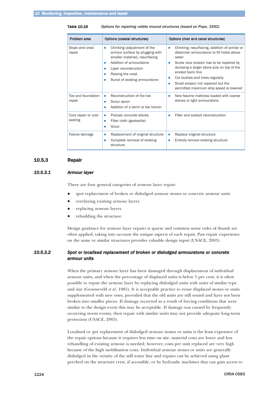<span id="page-47-0"></span>Table 10.16 *Options for repairing rubble mound structures (based on Pope, 1992)*

| Problem area<br>Options (coastal structures) |                                                                                                                                                                                                                      | Options (river and canal structures)                                                                                                                                                                                                                                                                                                 |  |  |
|----------------------------------------------|----------------------------------------------------------------------------------------------------------------------------------------------------------------------------------------------------------------------|--------------------------------------------------------------------------------------------------------------------------------------------------------------------------------------------------------------------------------------------------------------------------------------------------------------------------------------|--|--|
| Slope and crest<br>repair                    | Chinking (adjustment of the<br>۰<br>armour surface by plugging with<br>smaller material), resurfacing<br>Addition of armourstone<br>Layer reconstruction<br>Raising the crest<br>٠<br>Burial of existing armourstone | Chinking, resurfacing, addition of similar or<br>dissimilar armourstone to fill holes above<br>water<br>Screw race erosion has to be repaired by<br>dumping a larger stone size on top of the<br>eroded bank line<br>Cut bushes and trees regularly<br>Small erosion not repaired but the<br>permitted maximum ship speed is lowered |  |  |
| Toe and foundation<br>repair                 | Reconstruction of the toe<br>٠<br>Scour apron<br>٠<br>Addition of a berm or toe trench                                                                                                                               | New fascine mattress loaded with coarse<br>stones or light armourstone                                                                                                                                                                                                                                                               |  |  |
| Core repair or void<br>sealing               | Precast concrete blocks<br>٠<br>Filter cloth (geotextile)<br>٠<br>Grout                                                                                                                                              | Filter and subsoil reconstruction                                                                                                                                                                                                                                                                                                    |  |  |
| Failure damage                               | Replacement of original structure<br>٠<br>Complete removal of existing<br>structure                                                                                                                                  | Replace original structure<br>Entirely remove existing structure                                                                                                                                                                                                                                                                     |  |  |

#### 10.5.3 Repair

# *10.5.3.1 Armour layer*

There are four general categories of armour layer repair:

- $\bullet$ spot replacement of broken or dislodged armour stones or concrete armour units
- $\bullet$ overlaying existing armour layers
- $\bullet$ replacing armour layers
- $\bullet$ rebuilding the structure.

Design guidance for armour layer repairs is sparse and common sense rules of thumb are often applied, taking into account the unique aspects of each repair. Past repair experience on the same or similar structures provides valuable design input (USACE, 2003).

# *10.5.3.2 Spot or localised replacement of broken or dislodged armourstone or concrete armour units*

When the primary armour layer has been damaged through displacement of individual armour units, and when the percentage of displaced units is below 5 per cent, it is often possible to repair the armour layer by replacing dislodged units with units of similar type and size (Groeneveld *et al*, 1985). It is acceptable practice to reuse displaced stones or units supplemented with new ones, provided that the old units are still sound and have not been broken into smaller pieces. If damage occurred as a result of forcing conditions that were similar to the design event this may be acceptable. If damage was caused by frequently occurring storm events, then repair with similar units may not provide adequate long-term protection (USACE, 2003).

Localised or *spot* replacement of dislodged armour stones or units is the least expensive of the repair options because it requires less time on site, material costs are lower and less rehandling of existing armour is needed; however, costs per unit replaced are very high because of the high mobilisation costs. Individual armour stones or units are generally dislodged in the vicinity of the still water line and repairs can be achieved using plant perched on the structure crest, if accessible, or by hydraulic machines that can gain access to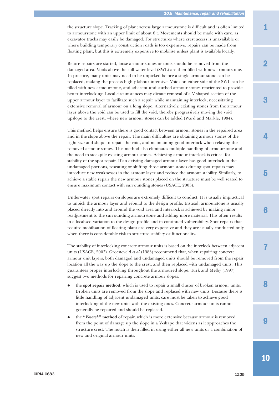the structure slope. Tracking of plant across large armourstone is difficult and is often limited to armourstone with an upper limit of about 6 t. Movements should be made with care, as excavator tracks may easily be damaged. For structures where crest access is unavailable or where building temporary construction roads is too expensive, repairs can be made from floating plant, but this is extremely expensive to mobilise unless plant is available locally.

Before repairs are started, loose armour stones or units should be removed from the damaged area. Voids above the still water level (SWL) are then filled with new armourstone. In practice, many units may need to be unpicked before a single armour stone can be replaced, making the process highly labour-intensive. Voids on either side of the SWL can be filled with new armourstone, and adjacent undisturbed armour stones reoriented to provide better interlocking. Local circumstances may dictate removal of a V-shaped section of the upper armour layer to facilitate such a repair while maintaining interlock, necessitating extensive removal of armour on a long slope. Alternatively, existing stones from the armour layer above the void can be used to fill the void, thereby progressively moving the void upslope to the crest, where new armour stones can be added (Ward and Markle, 1984).

This method helps ensure there is good contact between armour stones in the repaired area and in the slope above the repair. The main difficulties are obtaining armour stones of the right size and shape to repair the void, and maintaining good interlock when relaying the removed armour stones. This method also eliminates multiple handling of armourstone and the need to stockpile existing armour stones. Achieving armour interlock is critical for stability of the spot repair. If an existing damaged armour layer has good interlock in the undamaged portions, reseating or shifting those armour stones during spot repairs may introduce new weaknesses in the armour layer and reduce the armour stability. Similarly, to achieve a stable repair the new armour stones placed on the structure must be well seated to ensure maximum contact with surrounding stones (USACE, 2003).

Underwater spot repairs on slopes are extremely difficult to conduct. It is usually impractical to unpick the armour layer and rebuild to the design profile. Instead, armourstone is usually placed directly into and around the void area and interlock is achieved by making minor readjustment to the surrounding armourstone and adding more material. This often results in a localised variation to the design profile and in continued vulnerability. Spot repairs that require mobilisation of floating plant are very expensive and they are usually conducted only when there is considerable risk to structure stability or functionality.

The stability of interlocking concrete armour units is based on the interlock between adjacent units (USACE, 2003). Groeneveld *et al* (1985) recommend that, when repairing concrete armour unit layers, both damaged and undamaged units should be removed from the repair location all the way up the slope to the crest, and then replaced with undamaged units. This guarantees proper interlocking throughout the armoured slope. Turk and Melby (1997) suggest two methods for repairing concrete armour slopes:

- $\bullet$  the **spot repair method**, which is used to repair a small cluster of broken armour units. Broken units are removed from the slope and replaced with new units. Because there is little handling of adjacent undamaged units, care must be taken to achieve good interlocking of the new units with the existing ones. Concrete armour units cannot generally be repaired and should be replaced.
- $\bullet$  the **"***V-notch***" method** of repair, which is more extensive because armour is removed from the point of damage up the slope in a V-shape that widens as it approaches the structure crest. The notch is then filled in using either all new units or a combination of new and original armour units.

3

4

7

8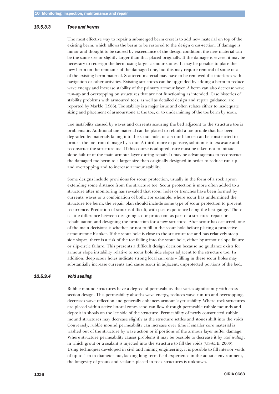#### <span id="page-49-0"></span>*10.5.3.3 Toes and berms*

The most effective way to repair a submerged berm crest is to add new material on top of the existing berm, which allows the berm to be restored to the design cross-section. If damage is minor and thought to be caused by exceedance of the design condition, the new material can be the same size or slightly larger than that placed originally. If the damage is severe, it may be necessary to redesign the berm using larger armour stones. It may be possible to place the new berm on the remnants of the damaged one, but this may require removal of some or all of the existing berm material. Scattered material may have to be removed if it interferes with navigation or other activities. Existing structures can be upgraded by adding a berm to reduce wave energy and increase stability of the primary armour layer. A berm can also decrease wave run-up and overtopping on structures that are not functioning as intended. Case histories of stability problems with armoured toes, as well as detailed design and repair guidance, are reported by Markle (1986). Toe stability is a major issue and often relates either to inadequate sizing and placement of armourstone at the toe, or to undermining of the toe berm by scour.

Toe instability caused by waves and currents scouring the bed adjacent to the structure toe is problematic. Additional toe material can be placed to rebuild a toe profile that has been degraded by materials falling into the scour hole, or a scour blanket can be constructed to protect the toe from damage by scour. A third, more expensive, solution is to excavate and reconstruct the structure toe. If this course is adopted, care must be taken not to initiate slope failure of the main armour layer during repair. It may be advantageous to reconstruct the damaged toe berm to a larger size than originally designed in order to reduce run-up and overtopping and to increase armour stability.

Some designs include provisions for scour protection, usually in the form of a rock apron extending some distance from the structure toe. Scour protection is more often added to a structure after monitoring has revealed that scour holes or trenches have been formed by currents, waves or a combination of both. For example, where scour has undermined the structure toe berm, the repair plan should include some type of scour protection to prevent recurrence. Prediction of scour is difficult, with past experience being the best gauge. There is little difference between designing scour protection as part of a structure repair or rehabilitation and designing the protection for a new structure. After scour has occurred, one of the main decisions is whether or not to fill in the scour hole before placing a protective armourstone blanket. If the scour hole is close to the structure toe and has relatively steep side slopes, there is a risk of the toe falling into the scour hole, either by armour slope failure or slip-circle failure. This presents a difficult design decision because no guidance exists for armour slope instability relative to scour hole side slopes adjacent to the structure toe. In addition, deep scour holes indicate strong local currents – filling in these scour holes may substantially increase currents and cause scour in adjacent, unprotected portions of the bed.

# *10.5.3.4 Void sealing*

Rubble mound structures have a degree of permeability that varies significantly with crosssection design. This permeability absorbs wave energy, reduces wave run-up and overtopping, decreases wave reflection and generally enhances armour layer stability. Where rock structures are placed within active littoral zones sand can flow through permeable rubble mounds and deposit in shoals on the lee side of the structure. Permeability of newly constructed rubble mound structures may decrease slightly as the structure settles and stones shift into the voids. Conversely, rubble mound permeability can increase over time if smaller core material is washed out of the structure by wave action or if portions of the armour layer suffer damage. Where structure permeability causes problems it may be possible to decrease it by *void sealing*, in which grout or a sealant is injected into the structure to fill the voids (USACE, 2003). Using techniques developed in civil and mining engineering, it is possible to fill interior voids of up to 1 m in diameter but, lacking long-term field experience in the aquatic environment, the longevity of grouts and sealants placed in rock structures is unknown.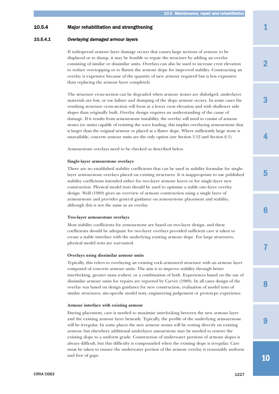### <span id="page-50-0"></span>10.5.4 Major rehabilitation and strengthening

#### *10.5.4.1 Overlaying damaged armour layers*

If widespread armour layer damage occurs that causes large sections of armour to be displaced or to slump, it may be feasible to repair the structure by adding an overlay consisting of similar or dissimilar units. Overlays can also be used to increase crest elevation to reduce overtopping or to flatten the armour slope for improved stability. Constructing an overlay is expensive because of the quantity of new armour required but is less expensive than replacing the armour layer completely.

The structure cross-section can be degraded when armour stones are dislodged, underlayer materials are lost, or toe failure and slumping of the slope armour occurs. In some cases the resulting structure cross-section will form at a lower crest elevation and with shallower side slopes than originally built. Overlay design requires an understanding of the cause of damage. If it results from armourstone instability, the overlay will need to consist of armour stones (or units) capable of resisting the wave loading; this implies overlaying armourstone that is larger than the original armour or placed at a flatter slope. Where sufficiently large stone is unavailable, concrete armour units are the only option (see Section 3.12 and Section 6.1).

Armourstone overlays need to be checked as described below.

#### **Single-layer armourstone overlays**

There are no established stability coefficients that can be used in stability formulae for singlelayer armourstone overlays placed on existing structures. It is inappropriate to use published stability coefficients intended either for two-layer armour layers or for single-layer new construction. Physical model tests should be used to optimise a stable one-layer overlay design. Wolf (1989) gives an overview of armour construction using a single layer of armourstone and provides general guidance on armourstone placement and stability, although this is not the same as an overlay.

#### **Two-layer armourstone overlays**

Most stability coefficients for armourstone are based on two-layer design, and these coefficients should be adequate for two-layer overlays provided sufficient care is taken to create a stable interface with the underlying existing armour slope. For large structures, physical model tests are warranted.

#### **Overlays using dissimilar armour units**

Typically, this refers to overlaying an existing rock-armoured structure with an armour layer composed of concrete armour units. The aim is to improve stability through better interlocking, greater mass (cubes), or a combination of both. Experiences based on the use of dissimilar armour units for repairs are reported by Carver (1989). In all cases design of the overlay was based on design guidance for new construction, evaluation of model tests of similar structures, site-specific model tests, engineering judgement or prototype experience.

#### **Armour interface with existing armour**

During placement, care is needed to maximise interlocking between the new armour layer and the existing armour layer beneath. Typically, the profile of the underlying armourstone will be irregular. In some places the new armour stones will be resting directly on existing armour, but elsewhere additional underlayer amourstone may be needed to restore the existing slope to a uniform grade. Construction of underwater portions of armour slopes is always difficult, but this difficulty is compounded when the existing slope is irregular. Care must be taken to ensure the underwater portion of the armour overlay is reasonably uniform and free of gaps.

10

 $\mathbf Q$ 

8

7

6

2

3

4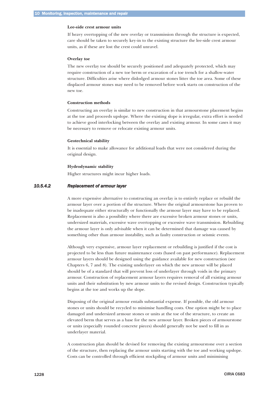#### <span id="page-51-0"></span>**Lee-side crest armour units**

If heavy overtopping of the new overlay or transmission through the structure is expected, care should be taken to securely key-in to the existing structure the lee-side crest armour units, as if these are lost the crest could unravel.

#### **Overlay toe**

The new overlay toe should be securely positioned and adequately protected, which may require construction of a new toe berm or excavation of a toe trench for a shallow-water structure. Difficulties arise where dislodged armour stones litter the toe area. Some of these displaced armour stones may need to be removed before work starts on construction of the new toe.

#### **Construction methods**

Constructing an overlay is similar to new construction in that armourstone placement begins at the toe and proceeds upslope. Where the existing slope is irregular, extra effort is needed to achieve good interlocking between the overlay and existing armour. In some cases it may be necessary to remove or relocate existing armour units.

#### **Geotechnical stability**

It is essential to make allowance for additional loads that were not considered during the original design.

#### **Hydrodynamic stability**

Higher structures might incur higher loads.

#### *10.5.4.2 Replacement of armour layer*

A more expensive alternative to constructing an overlay is to entirely replace or rebuild the armour layer over a portion of the structure. Where the original armourstone has proven to be inadequate either structurally or functionally the armour layer may have to be replaced. Replacement is also a possibility where there are excessive broken armour stones or units, undersized materials, excessive wave overtopping or excessive wave transmission. Rebuilding the armour layer is only advisable when it can be determined that damage was caused by something other than armour instability, such as faulty construction or seismic events.

Although very expensive, armour layer replacement or rebuilding is justified if the cost is projected to be less than future maintenance costs (based on past performance). Replacement armour layers should be designed using the guidance available for new construction (see Chapters 6, 7 and 8). The existing underlayer on which the new armour will be placed should be of a standard that will prevent loss of underlayer through voids in the primary armour. Construction of replacement armour layers requires removal of all existing armour units and their substitution by new armour units to the revised design. Construction typically begins at the toe and works up the slope.

Disposing of the original armour entails substantial expense. If possible, the old armour stones or units should be recycled to minimise handling costs. One option might be to place damaged and undersized armour stones or units at the toe of the structure, to create an elevated berm that serves as a base for the new armour layer. Broken pieces of armourstone or units (especially rounded concrete pieces) should generally not be used to fill in as underlayer material.

A construction plan should be devised for removing the existing armourstone over a section of the structure, then replacing the armour units starting with the toe and working upslope. Costs can be controlled through efficient stockpiling of armour units and minimising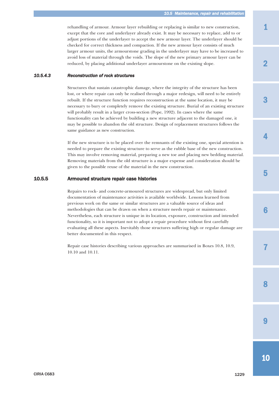<span id="page-52-0"></span>rehandling of armour. Armour layer rebuilding or replacing is similar to new construction, except that the core and underlayer already exist. It may be necessary to replace, add to or adjust portions of the underlayer to accept the new armour layer. The underlayer should be checked for correct thickness and compaction. If the new armour layer consists of much larger armour units, the armourstone grading in the underlayer may have to be increased to avoid loss of material through the voids. The slope of the new primary armour layer can be reduced, by placing additional underlayer armourstone on the existing slope.

### *10.5.4.3 Reconstruction of rock structures*

Structures that sustain catastrophic damage, where the integrity of the structure has been lost, or where repair can only be realised through a major redesign, will need to be entirely rebuilt. If the structure function requires reconstruction at the same location, it may be necessary to bury or completely remove the existing structure. Burial of an existing structure will probably result in a larger cross-section (Pope, 1992). In cases where the same functionality can be achieved by building a new structure adjacent to the damaged one, it may be possible to abandon the old structure. Design of replacement structures follows the same guidance as new construction.

If the new structure is to be placed over the remnants of the existing one, special attention is needed to prepare the existing structure to serve as the rubble base of the new construction. This may involve removing material, preparing a new toe and placing new bedding material. Removing materials from the old structure is a major expense and consideration should be given to the possible reuse of the material in the new construction.

#### 10.5.5 Armoured structure repair case histories

Repairs to rock- and concrete-armoured structures are widespread, but only limited documentation of maintenance activities is available worldwide. Lessons learned from previous work on the same or similar structures are a valuable source of ideas and methodologies that can be drawn on when a structure needs repair or maintenance. Nevertheless, each structure is unique in its location, exposure, construction and intended functionality, so it is important not to adopt a repair procedure without first carefully evaluating all these aspects. Inevitably those structures suffering high or regular damage are better documented in this respect.

Repair case histories describing various approaches are summarised in Boxes 10.8, 10.9, 10.10 and 10.11.

3

4

7

 $\mathbf Q$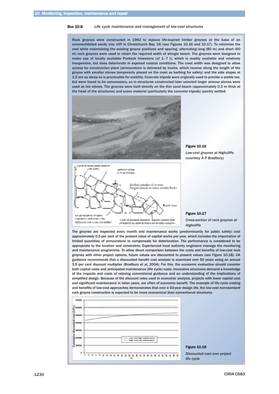#### Box 10.8 *Life cycle maintenance and management of low-cost structures*

Rock groynes were constructed in 1992 to replace life-expired timber groynes at the base of an unconsolidated sandy clay cliff in Christchurch Bay, UK (see Figures 10.16 and 10.17). To minimise the cost while maintaining the existing groyne positions and spacing, alternating long (80 m) and short (60 m) rock groynes were used to retain the required width of shingle beach. The groynes were designed to make use of locally available Purbeck limestone (of  $1-7$  t), which is readily available and relatively inexpensive, but does deteriorate in exposed coastal conditions. The crest width was designed to allow access for construction plant (armourstone is delivered by trucks, which reverse along the length of the groyne with smaller stones temporarily placed on the crest as kerbing for safety) and the side slopes at 1:2 are as steep as is practicable for stability. Concrete tripods were originally used to provide a stable toe, but were found to be unnecessary, so in structures constructed later selected larger armour stones were used as *toe stones*. The groynes were built directly on the thin sand beach (approximately 0.3 m thick at the head of the structures) and some material (particularly the concrete tripods) quickly settled.





*Low-cost groynes at Highcliffe (courtesy A P Bradbury)*



#### Figure 10.17

*Cross-section of rock groynes at Highcliffe*

The groynes are inspected every month and maintenance works (predominantly for public safety) cost approximately 0.5 per cent of the present value of capital works per year, which includes the importation of limited quantities of armourstone to compensate for deterioration. The performance is considered to be appropriate to the location and constraints. Experienced local authority engineers manage the monitoring and maintenance programme. To allow direct comparison between the costs and benefits of low-cost rock groynes with other project options, future values are discounted to present values (see Figure 10.18). UK guidance recommends that a discounted benefit cost analysis is examined over 50 years using an annual 3.5 per cent discount multiplier (Bradbury *et al*, 2004). For this, the economic evaluation should consider both capital costs and anticipated maintenance (life cycle) costs. Innovative structures demand a knowledge of the impacts and costs of relaxing conventional guidance and an understanding of the implications of simplified design. Because of the discount rates used in economic analysis, projects with lower capital cost and significant maintenance in latter years, are often of economic benefit. The example of life cycle costing and benefits of low-cost approaches demonstrates that over a 50-year design life, the low-cost non-standard rock groyne construction is expected to be more economical than conventional structures.

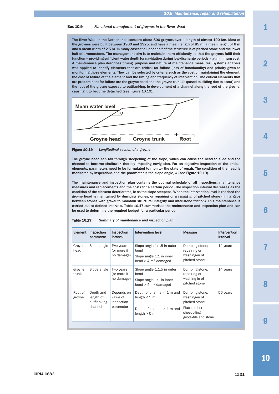#### Box 10.9 *Functional management of groynes in the River Waal*

The River Waal in the Netherlands contains about 800 groynes over a length of almost 100 km. Most of the groynes were built between 1900 and 1925, and have a mean length of 85 m, a mean height of 6 m and a mean width of 2.5 m. In many cases the upper half of the structure is of pitched stone and the lower half of armourstone. The management aim is to maintain them efficiently so that the groynes fulfil their function – providing sufficient water depth for navigation during low-discharge periods – at minimum cost. A maintenance plan describes timing, purpose and nature of maintenance measures. Systems analysis was applied to identify elements that are critical for failure (loss of functionality) and priority given to monitoring those elements. They can be selected by criteria such as the cost of maintaining the element, the cost of failure of the element and the timing and frequency of intervention. The critical elements that are predominant for failure are the groyne head and the groyne trunk (exposed to sliding due to scour) and the root of the groyne exposed to outflanking, ie development of a channel along the root of the groyne, causing it to become detached (see Figure 10.19).



Figure 10.19 *Longitudinal section of a groyne*

The groyne head can fail through steepening of the slope, which can cause the head to slide and the channel to become shallower, thereby impeding navigation. For an objective inspection of the critical elements, parameters need to be formulated to monitor the state of repair. The condition of the head is monitored by inspections and the parameter is the slope angle,  $\alpha$  (see Figure 10.19).

The maintenance and inspection plan contains the optimal schedule of all inspections, maintenance measures and replacements and the costs for a certain period. The inspection interval decreases as the condition of the element deteriorates, ie as the slope steepens. When the intervention level is reached the groyne head is maintained by dumping stones, or repairing or *washing in* of pitched stone (filling gaps between stones with gravel to maintain structural integrity and inter-stone friction). This maintenance is carried out at defined intervals. Table 10.17 summarises the maintenance and inspection plan and can be used to determine the required budget for a particular period.

#### Table 10.17 *Summary of maintenance and inspection plan*

| Element           | Inspection<br>parameter                          | Inspection<br>interval                            | Intervention level                                                                                  | <b>Measure</b>                                                                                            | Intervention<br>interval |
|-------------------|--------------------------------------------------|---------------------------------------------------|-----------------------------------------------------------------------------------------------------|-----------------------------------------------------------------------------------------------------------|--------------------------|
| Groyne<br>head    | Slope angle                                      | Two years<br>(or more if<br>no damage)            | Slope angle 1:1.5 in outer<br>bend<br>Slope angle 1:1 in inner<br>bend $>$ 4 m <sup>2</sup> damaged | Dumping stone;<br>repairing or<br>washing-in of<br>pitched stone                                          | 14 years                 |
| Groyne<br>trunk   | Slope angle                                      | Two years<br>(or more if<br>no damage)            | Slope angle 1:1.5 in outer<br>bend<br>Slope angle 1:1 in inner<br>bend $>$ 4 m <sup>2</sup> damaged | Dumping stone;<br>repairing or<br>washing-in of<br>pitched stone                                          | 14 years                 |
| Root of<br>groyne | Depth and<br>length of<br>outflanking<br>channel | Depends on<br>value of<br>inspection<br>parameter | Depth of channel $\leq 1$ m and<br>length $<$ 5 m<br>Depth of channel $> 1$ m and<br>length $>$ 5 m | Dumping stone;<br>washing-in of<br>pitched stone<br>Place timber<br>sheet-piling,<br>geotextile and stone | 56 years                 |

1

2

4

3

5



7

8

**0**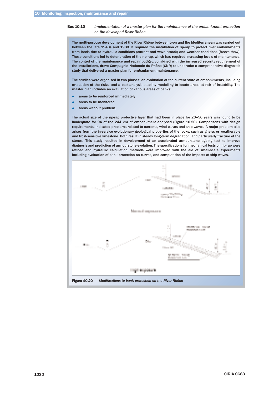#### Box 10.10 *Implementation of a master plan for the maintenance of the embankment protection on the developed River Rhône*

The multi-purpose development of the River Rhône between Lyon and the Mediterranean was carried out between the late 1940s and 1980. It required the installation of rip-rap to protect river embankments from loads due to hydraulic conditions (current and wave attack) and weather conditions (freeze-thaw). These conditions led to deterioration of the rip-rap, which has required increasing levels of maintenance. The control of the maintenance and repair budget, combined with the increased security requirement of the installations, drove Compagnie Nationale du Rhône (CNR) to undertake a comprehensive diagnostic study that delivered a master plan for embankment maintenance.

The studies were organised in two phases: an evaluation of the current state of embankments, including evaluation of the risks, and a post-analysis stability modelling to locate areas at risk of instability. The master plan includes an evaluation of various areas of banks:

- areas to be reinforced immediately
- $\bullet$ areas to be monitored
- areas without problem.

The actual size of the rip-rap protective layer that had been in place for 20–50 years was found to be inadequate for 94 of the 244 km of embankment analysed (Figure 10.20). Comparisons with design requirements, indicated problems related to currents, wind waves and ship waves. A major problem also arises from the in-service evolutionary geological properties of the rocks, such as gneiss or weatherable and frost-sensitive limestone. Both result in steady long-term degradation, and particularly fracture of the stones. This study resulted in development of an accelerated armourstone ageing test to improve diagnosis and prediction of armourstone evolution. The specifications for mechanical tests on rip-rap were refined and hydraulic calculation methods were improved with the aid of small-scale experiments including evaluation of bank protection on curves, and computation of the impacts of ship waves.

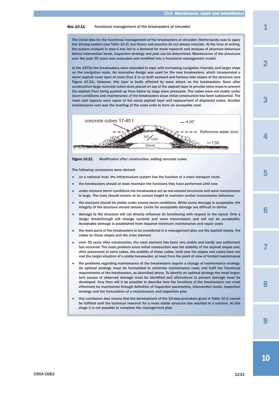#### Box 10.11 *Functional management of the breakwaters at IJmuiden*

The initial idea for the functional management of the breakwaters at IJmuiden (Netherlands) was to apply the 10-step system (see Table 10.2), but theory and practice do not always coincide. At the time of writing, the system analysis in step 6 has led to a demand for more research and analysis of structure behaviour before intervention levels, inspection strategy and plan can be determined. Maintenance of the structures over the past 35 years was evaluated and modified into a functional management model.

In the 1970s the breakwaters were extended to cope with increasing navigation intensity and larger ships on the navigation route. An innovative design was used for the new breakwaters, which incorporated a stone asphalt cover layer of more than 2 m on both seaward and harbour side slopes of the structure (see Figure 10.21). However, this layer is badly affected by wave attack on the breakwaters. Soon after construction large concrete cubes were placed on top of the asphalt layer to provide extra mass to prevent the asphalt from being pushed up from below by large wave pressures. The cubes were not stable under storm conditions and maintenance of the breakwaters since initial construction has been substantial. The main cost aspects were repair of the stone asphalt layer and replacement of displaced cubes. Another maintenance cost was the levelling of the crest units to form an accessible road.



Figure 10.21 *Modification after construction: adding concrete cubes*

The following conclusions were derived:

- $\bullet$ on a national level, the infrastructure system has the function of a main transport route
- $\bullet$ the breakwaters should at least maintain the functions they have performed until now
- $\bullet$  under extreme storm conditions the breakwaters act as low-crested structures and wave transmission is large. The crest should remain at its current height to maintain similar transmission behaviour
- the structure should be stable under severe storm conditions. While some damage is acceptable, the integrity of the structure should remain. Limits for acceptable damage are difficult to define
- damage to the structure will not directly influence its functioning with respect to the layout. Only a (large) breakthrough will change currents and wave transmission and will not be acceptable. Acceptable damage is established from required minimum maintenance and repair costs
- $\bullet$  the main parts of the breakwaters to be considered in a management plan are the asphalt slopes, the cubes on these slopes and the crest element
- $\bullet$  even 35 years after construction, the crest element has been very stable and hardly any settlement has occurred. The main problem since initial construction was the stability of the asphalt slopes and, after placement of extra cubes, the stability of these cubes. Until now the slopes and cubes have not met the target situation of a stable breakwater, at least from the point of view of limited maintenance
- $\bullet$  the problems regarding maintenance of the breakwaters require a change of maintenance strategy. An optimal strategy must be formulated to minimise maintenance costs and fulfil the functional requirements of the breakwaters, as described above. To identify an optimal strategy the most important causes of observed damage must be identified and alternatives to prevent damage must be developed. Only then will it be possible to describe how the functions of the breakwaters can most effectively be maintained through definition of inspection parameters, intervention levels, inspection strategy and the formulation of a maintenance and inspection plan
- $\bullet$  this conclusion also means that the development of the 10-step procedure given in Table 10.2 cannot be fulfilled until the technical research for a more stable structure has resulted in a solution. At this stage it is not possible to complete the management plan.

4

3

7

8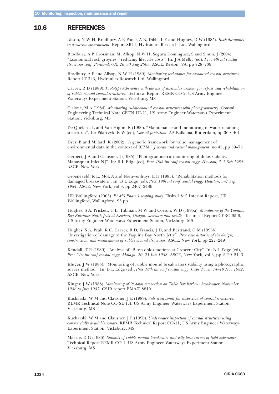# <span id="page-57-0"></span>10.6 REFERENCES

Allsop, N W H, Bradbury, A P, Poole, A B, Dibb, T E and Hughes, D W (1985). *Rock durability in a marine environment*. Report SR11, Hydraulics Research Ltd, Wallingford

Bradbury, A P, Crossman, M, Allsop, N W H, Segura Dominguez, S and Simm, J (2004). "Economical rock groynes – reducing lifecycle costs". In: J A Melby (ed), *Proc 4th int coastal structures conf, Portland, OR, 26–30 Aug 2003*. ASCE, Reston, VA, pp 728–739

Bradbury, A P and Allsop, N W H (1989). *Monitoring techniques for armoured coastal structures*. Report IT 343, Hydraulics Research Ltd, Wallingford

Carver, R D (1989). *Prototype experience with the use of dissimilar armour for repair and rehabilitation of rubble-mound coastal structures*. Technical Report REMR-CO-2, US Army Engineer Waterways Experiment Station, Vicksburg, MS

Cialone, M A (1984). *Monitoring rubble-mound coastal structures with photogrammetry*. Coastal Engineering Technical Note CETN III-21, US Army Engineer Waterways Experiment Station, Vicksburg, MS

De Quelerij, L and Van Hijum, E (1990). "Maintenance and monitoring of water retaining structures". In: Pilarczyk, K W (ed), *Coastal protection*. AA Balkema, Rotterdam, pp 369–401

Dyer, B and Millard, K (2002). "A generic framework for value management of environmental data in the context of ICZM". *J ocean and coastal management*, no 45, pp 59–75

Gerbert, J A and Clausner, J (1985). "Photogrammetric monitoring of dolos stability, Manasquan Inlet NJ". In: B L Edge (ed), *Proc 19th int conf coastal engg, Houston, 3–7 Sep 1984*. ASCE, New York

Groeneveld, R L, Mol, A and Nieuwenhuys, E H (1985). "Rehabilitation methods for damaged breakwaters". In: B L Edge (ed), *Proc 19th int conf coastal engg, Houston, 3–7 Sep 1984*. ASCE, New York, vol 3, pp 2467–2486

HR Wallingford (2003). *PAMS Phase 1 scoping study*. Tasks 1 & 2 Interim Report, HR Wallingford, Wallingford, 93 pp

Hughes, S A, Prickett, T L, Tubman, M W and Corson, W D (1995a). *Monitoring of the Yaquina Bay Entrance North Jetty at Newport, Oregon: summary and results*. Technical Report CERC-95-9, US Army Engineer Waterways Experiment Station, Vicksburg, MS

Hughes, S A, Peak, R C, Carver, R D, Francis, J D, and Bertrand, G M (1995b). "Investigation of damage at the Yaquina Bay North Jetty". *Proc case histories of the design, construction, and maintenance of rubble mound structures*. ASCE, New York, pp 227–249

Kendall, T R (1989). "Analysis of 42-ton dolos motions at Crescent City". In: B L Edge (ed), *Proc 21st int conf coastal engg, Malaga, 20–25 Jun 1988*. ASCE, New York, vol 3, pp 2129–2143

Kluger, J W (1983). "Monitoring of rubble mound breakwaters stability using a photographic survey method". In: B L Edge (ed), *Proc 18th int conf coastal engg, Cape Town, 14–19 Nov 1982*. ASCE, New York

Kluger, J W (1988). *Monitoring of 9t dolos test section on Table Bay harbour breakwater, November 1986 to July 1987*. CSIR report EMA-T 8810

Kucharski, W M and Clausner, J E (1989). *Side scan sonar for inspection of coastal structures*. REMR Technical Note CO-SE-1.4, US Army Engineer Waterways Experiment Station, Vicksburg, MS

Kucharski, W M and Clausner, J E (1990). *Underwater inspection of coastal structures using commercially available sonars*. REMR Technical Report CO-11, US Army Engineer Waterways Experiment Station, Vicksburg, MS

Markle, D G (1986). *Stability of rubble-mound breakwater and jetty toes: survey of field experience*. Technical Report REMR-CO-1, US Army Engineer Waterways Experiment Station, Vicksburg, MS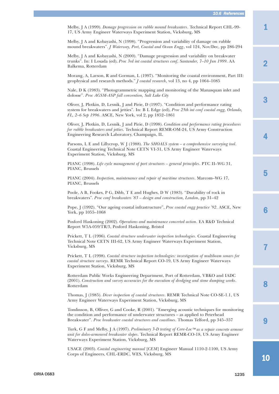1

3

2

4

5

Melby, J A (1999). *Damage progression on rubble mound breakwaters*. Technical Report CHL-99- 17, US Army Engineer Waterways Experiment Station, Vicksburg, MS

Melby, J A and Kobayashi, N (1998). "Progression and variability of damage on rubble mound breakwaters". *J Waterway, Port, Coastal and Ocean Engg*, vol 124, Nov/Dec, pp 286-294

Melby, J A and Kobayashi, N (2000). "Damage progression and variability on breakwater trunks". In: I Losada (ed), *Proc 3rd int coastal structures conf, Santander, 7–10 Jun 1999*. AA Balkema, Rotterdam

Morang, A, Larson, R and Gorman, L (1997). "Monitoring the coastal environment, Part III: geophysical and research methods." *J coastal research*, vol 13, no 4, pp 1064–1085

Nale, D K (1983). "Photogrammetric mapping and monitoring of the Manasquan inlet and dolosse". *Proc AGSM-ASP fall convention, Salt Lake City*

Oliver, J, Plotkin, D, Lesnik, J and Pirie, D (1997). "Condition and performance rating system for breakwaters and jetties". In: B L Edge (ed), *Proc 25th int conf coastal engg, Orlando, FL, 2–6 Sep 1996*. ASCE, New York, vol 2, pp 1852–1861

Oliver, J, Plotkin, D, Lesnik, J and Pirie, D (1998). *Condition and performance rating procedures for rubble breakwaters and jetties*. Technical Report REMR-OM-24, US Army Construction Engineering Research Laboratory, Champaign, IL

Parsons, L E and Lillycrop, W J (1988). *The SHOALS system – a comprehensive surveying tool*. Coastal Engineering Technical Note CETN VI-31, US Army Engineer Waterways Experiment Station, Vicksburg, MS

PIANC (1998). *Life cycle management of port structures – general principles*. PTC II–WG 31, PIANC, Brussels

PIANC (2004). *Inspection, maintenance and repair of maritime structures*. Marcom–WG 17, PIANC, Brussels

Poole, A B, Fookes, P G, Dibb, T E and Hughes, D W (1983). "Durability of rock in breakwaters". *Proc conf breakwaters '83 – design and construction, London*, pp 31–42

Pope, J (1992). "Our ageing coastal infrastructure", *Proc coastal engg practice '92*. ASCE, New York, pp 1055–1068

Posford Haskoning (2002). *Operations and maintenance concerted action*. EA R&D Technical Report W5A-059/TR/3, Posford Haskoning, Bristol

Prickett, T L (1996). *Coastal structure underwater inspection technologies*. Coastal Engineering Technical Note CETN III-62, US Army Engineer Waterways Experiment Station, Vicksburg, MS

Prickett, T L (1998). *Coastal structure inspection technologies: investigation of multibeam sonars for coastal structure surveys*. REMR Technical Report CO-19, US Army Engineer Waterways Experiment Station, Vicksburg, MS

Rotterdam Public Works Engineering Department, Port of Rotterdam, VBKO and IADC (2001). *Construction and survey accuracies for the execution of dredging and stone dumping works*. Rotterdam

Thomas, J (1985). *Diver inspection of coastal structures*. REMR Technical Note CO-SE-1.1, US Army Engineer Waterways Experiment Station, Vicksburg, MS

Tomlinson, B, Olliver, G and Cooke, R (2001). "Emerging acoustic techniques for monitoring the condition and performance of underwater structures – as applied to Peterhead Breakwater". *Proc breakwater coastal structures and coastlines*. Thomas Telford, pp 345–357

Turk, G F and Melby, J A (1997). *Preliminary 3-D testing of Core-Loc*™ *as a repair concrete armour unit for dolos-armoured breakwater slopes*. Technical Report REMR-CO-18, US Army Engineer Waterways Experiment Station, Vicksburg, MS

USACE (2003). *Coastal engineering manual* [*CEM*] Engineer Manual 1110-2-1100, US Army Corps of Engineers, CHL-ERDC, WES, Vicksburg, MS

10

 $\mathbf Q$ 

8

7